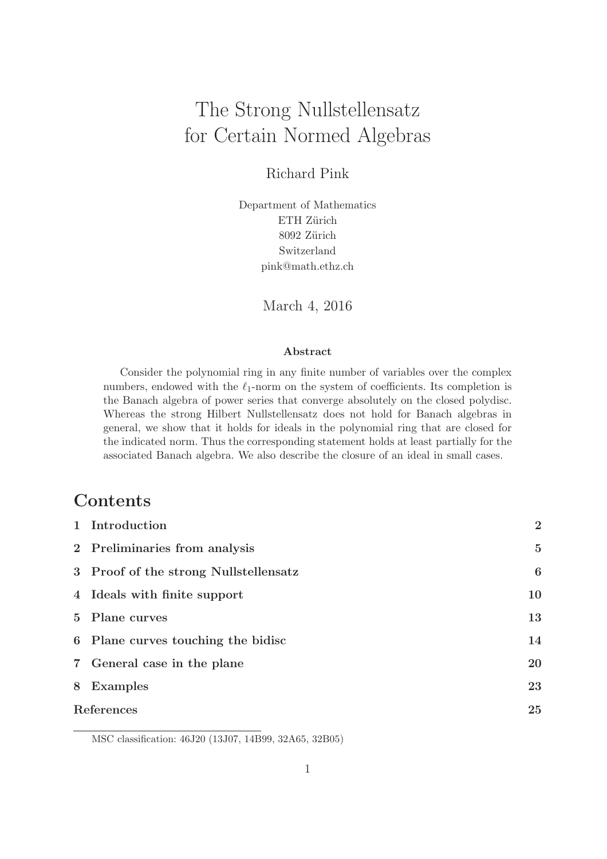# The Strong Nullstellensatz for Certain Normed Algebras

Richard Pink

Department of Mathematics ETH Zürich 8092 Zürich Switzerland pink@math.ethz.ch

March 4, 2016

#### Abstract

Consider the polynomial ring in any finite number of variables over the complex numbers, endowed with the  $\ell_1$ -norm on the system of coefficients. Its completion is the Banach algebra of power series that converge absolutely on the closed polydisc. Whereas the strong Hilbert Nullstellensatz does not hold for Banach algebras in general, we show that it holds for ideals in the polynomial ring that are closed for the indicated norm. Thus the corresponding statement holds at least partially for the associated Banach algebra. We also describe the closure of an ideal in small cases.

# Contents

| 1 Introduction                        | $\overline{2}$ |
|---------------------------------------|----------------|
| 2 Preliminaries from analysis         | $\overline{5}$ |
| 3 Proof of the strong Nullstellensatz | 6              |
| 4 Ideals with finite support          | 10             |
| 5 Plane curves                        | 13             |
| 6 Plane curves touching the bidisc    | 14             |
| 7 General case in the plane           | 20             |
| 8 Examples                            | 23             |
| References                            |                |
|                                       |                |

MSC classification: 46J20 (13J07, 14B99, 32A65, 32B05)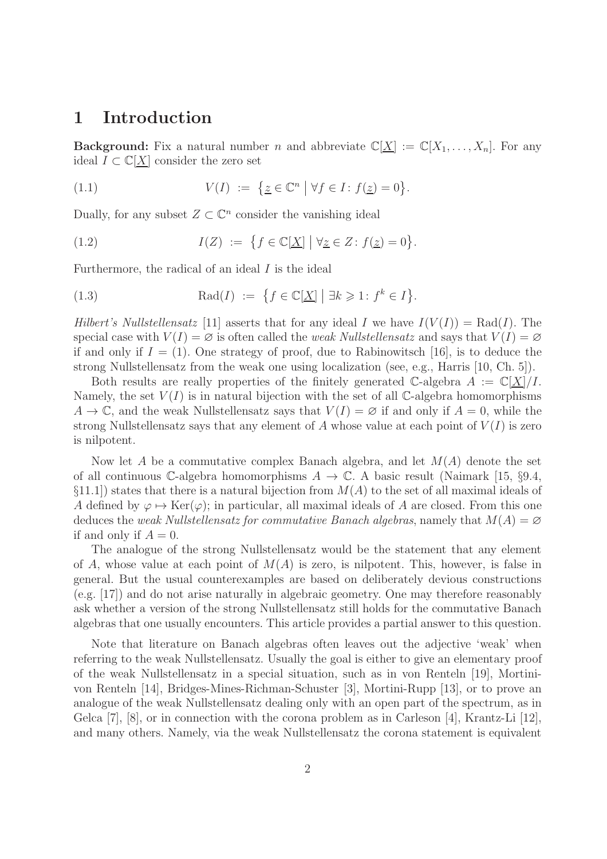#### 1 Introduction

**Background:** Fix a natural number n and abbreviate  $\mathbb{C}[\underline{X}] := \mathbb{C}[X_1, \ldots, X_n]$ . For any ideal  $I \subset \mathbb{C}[\underline{X}]$  consider the zero set

(1.1) 
$$
V(I) := \{ \underline{z} \in \mathbb{C}^n \mid \forall f \in I : f(\underline{z}) = 0 \}.
$$

Dually, for any subset  $Z \subset \mathbb{C}^n$  consider the vanishing ideal

(1.2) 
$$
I(Z) := \{ f \in \mathbb{C}[\underline{X}] \mid \forall \underline{z} \in Z \colon f(\underline{z}) = 0 \}.
$$

Furthermore, the radical of an ideal  $I$  is the ideal

(1.3) 
$$
\operatorname{Rad}(I) := \{ f \in \mathbb{C}[\underline{X}] \mid \exists k \geqslant 1 : f^k \in I \}.
$$

Hilbert's Nullstellensatz [11] asserts that for any ideal I we have  $I(V(I)) = \text{Rad}(I)$ . The special case with  $V(I) = \emptyset$  is often called the *weak Nullstellensatz* and says that  $V(I) = \emptyset$ if and only if  $I = (1)$ . One strategy of proof, due to Rabinowitsch [16], is to deduce the strong Nullstellensatz from the weak one using localization (see, e.g., Harris [10, Ch. 5]).

Both results are really properties of the finitely generated C-algebra  $A := \mathbb{C}[X]/I$ . Namely, the set  $V(I)$  is in natural bijection with the set of all C-algebra homomorphisms  $A \to \mathbb{C}$ , and the weak Nullstellensatz says that  $V(I) = \emptyset$  if and only if  $A = 0$ , while the strong Nullstellensatz says that any element of A whose value at each point of  $V(I)$  is zero is nilpotent.

Now let A be a commutative complex Banach algebra, and let  $M(A)$  denote the set of all continuous C-algebra homomorphisms  $A \to \mathbb{C}$ . A basic result (Naimark [15, §9.4, §11.1) states that there is a natural bijection from  $M(A)$  to the set of all maximal ideals of A defined by  $\varphi \mapsto \text{Ker}(\varphi)$ ; in particular, all maximal ideals of A are closed. From this one deduces the weak Nullstellensatz for commutative Banach algebras, namely that  $M(A) = \emptyset$ if and only if  $A = 0$ .

The analogue of the strong Nullstellensatz would be the statement that any element of A, whose value at each point of  $M(A)$  is zero, is nilpotent. This, however, is false in general. But the usual counterexamples are based on deliberately devious constructions (e.g. [17]) and do not arise naturally in algebraic geometry. One may therefore reasonably ask whether a version of the strong Nullstellensatz still holds for the commutative Banach algebras that one usually encounters. This article provides a partial answer to this question.

Note that literature on Banach algebras often leaves out the adjective 'weak' when referring to the weak Nullstellensatz. Usually the goal is either to give an elementary proof of the weak Nullstellensatz in a special situation, such as in von Renteln [19], Mortinivon Renteln [14], Bridges-Mines-Richman-Schuster [3], Mortini-Rupp [13], or to prove an analogue of the weak Nullstellensatz dealing only with an open part of the spectrum, as in Gelca [7], [8], or in connection with the corona problem as in Carleson [4], Krantz-Li [12], and many others. Namely, via the weak Nullstellensatz the corona statement is equivalent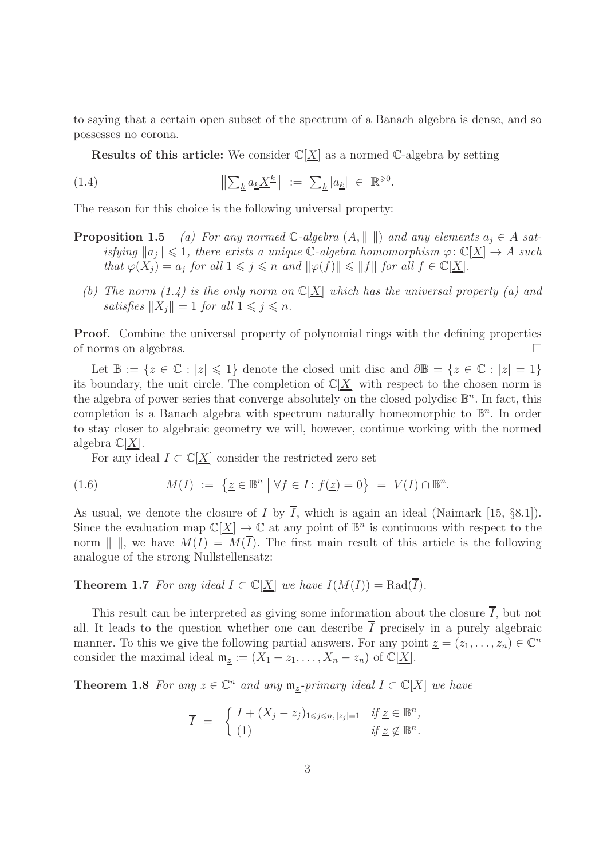to saying that a certain open subset of the spectrum of a Banach algebra is dense, and so possesses no corona.

**Results of this article:** We consider  $\mathbb{C}[X]$  as a normed C-algebra by setting

(1.4) 
$$
\|\sum_{\underline{k}} a_{\underline{k}} \underline{X}^{\underline{k}}\| := \sum_{\underline{k}} |a_{\underline{k}}| \in \mathbb{R}^{\geq 0}.
$$

The reason for this choice is the following universal property:

- **Proposition 1.5** (a) For any normed C-algebra  $(A, \|\ \|)$  and any elements  $a_i \in A$  satisfying  $||a_i|| \leq 1$ , there exists a unique C-algebra homomorphism  $\varphi: \mathbb{C}[X] \to A$  such that  $\varphi(X_j) = a_j$  for all  $1 \leq j \leq n$  and  $\|\varphi(f)\| \leq \|f\|$  for all  $f \in \mathbb{C}[\underline{X}]$ .
	- (b) The norm (1.4) is the only norm on  $\mathbb{C}[\underline{X}]$  which has the universal property (a) and satisfies  $||X_i|| = 1$  for all  $1 \leq j \leq n$ .

Proof. Combine the universal property of polynomial rings with the defining properties of norms on algebras.

Let  $\mathbb{B} := \{z \in \mathbb{C} : |z| \leq 1\}$  denote the closed unit disc and  $\partial \mathbb{B} = \{z \in \mathbb{C} : |z| = 1\}$ its boundary, the unit circle. The completion of  $\mathbb{C}[X]$  with respect to the chosen norm is the algebra of power series that converge absolutely on the closed polydisc  $\mathbb{B}^n$ . In fact, this completion is a Banach algebra with spectrum naturally homeomorphic to  $\mathbb{B}^n$ . In order to stay closer to algebraic geometry we will, however, continue working with the normed algebra  $\mathbb{C}[X]$ .

For any ideal  $I \subset \mathbb{C}[\underline{X}]$  consider the restricted zero set

(1.6) 
$$
M(I) := \{ \underline{z} \in \mathbb{B}^n \mid \forall f \in I : f(\underline{z}) = 0 \} = V(I) \cap \mathbb{B}^n.
$$

As usual, we denote the closure of I by  $\overline{I}$ , which is again an ideal (Naimark [15, §8.1]). Since the evaluation map  $\mathbb{C}[\underline{X}] \to \mathbb{C}$  at any point of  $\mathbb{B}^n$  is continuous with respect to the norm  $\| \, \|$ , we have  $M(I) = M(\overline{I})$ . The first main result of this article is the following analogue of the strong Nullstellensatz:

#### **Theorem 1.7** For any ideal  $I \subset \mathbb{C}[X]$  we have  $I(M(I)) = \text{Rad}(\overline{I}).$

This result can be interpreted as giving some information about the closure  $\overline{I}$ , but not all. It leads to the question whether one can describe  $\overline{I}$  precisely in a purely algebraic manner. To this we give the following partial answers. For any point  $\underline{z} = (z_1, \ldots, z_n) \in \mathbb{C}^n$ consider the maximal ideal  $\mathfrak{m}_{\underline{z}} := (X_1 - z_1, \ldots, X_n - z_n)$  of  $\mathbb{C}[\underline{X}].$ 

**Theorem 1.8** For any  $\underline{z} \in \mathbb{C}^n$  and any  $\mathfrak{m}_{\underline{z}}$ -primary ideal  $I \subset \mathbb{C}[\underline{X}]$  we have

$$
\overline{I} = \begin{cases} I + (X_j - z_j)_{1 \leq j \leq n, |z_j| = 1} & \text{if } \underline{z} \in \mathbb{B}^n, \\ (1) & \text{if } \underline{z} \notin \mathbb{B}^n. \end{cases}
$$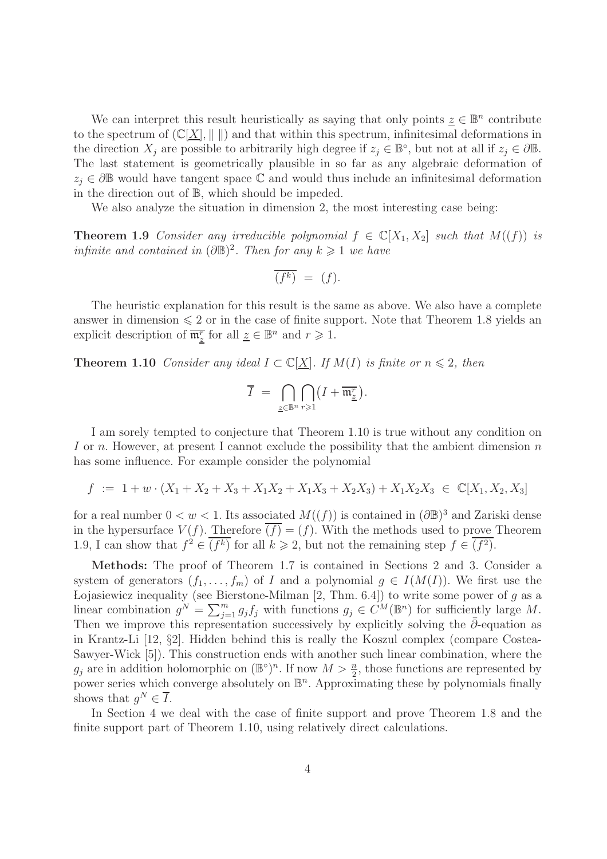We can interpret this result heuristically as saying that only points  $\underline{z} \in \mathbb{B}^n$  contribute to the spectrum of  $(\mathbb{C}[\underline{X}], \|\ \|)$  and that within this spectrum, infinitesimal deformations in the direction  $X_j$  are possible to arbitrarily high degree if  $z_j \in \mathbb{B}^{\circ}$ , but not at all if  $z_j \in \partial \mathbb{B}$ . The last statement is geometrically plausible in so far as any algebraic deformation of  $z_i \in \partial \mathbb{B}$  would have tangent space  $\mathbb{C}$  and would thus include an infinitesimal deformation in the direction out of B, which should be impeded.

We also analyze the situation in dimension 2, the most interesting case being:

**Theorem 1.9** Consider any irreducible polynomial  $f \in \mathbb{C}[X_1, X_2]$  such that  $M((f))$  is infinite and contained in  $(\partial \mathbb{B})^2$ . Then for any  $k \geq 1$  we have

$$
\overline{(f^k)} = (f).
$$

The heuristic explanation for this result is the same as above. We also have a complete answer in dimension  $\leq 2$  or in the case of finite support. Note that Theorem 1.8 yields an explicit description of  $\overline{\mathfrak{m}^r_{\underline{z}}}$  for all  $\underline{z} \in \mathbb{B}^n$  and  $r \geq 1$ .

**Theorem 1.10** Consider any ideal  $I \subset \mathbb{C}[X]$ . If  $M(I)$  is finite or  $n \leq 2$ , then

$$
\overline{I} \ = \ \bigcap_{\underline{z} \in \mathbb{B}^n} \bigcap_{r \geqslant 1} \bigl( I + \overline{\mathfrak{m}^r_{\underline{z}}} \bigr).
$$

I am sorely tempted to conjecture that Theorem 1.10 is true without any condition on I or n. However, at present I cannot exclude the possibility that the ambient dimension  $n$ has some influence. For example consider the polynomial

$$
f := 1 + w \cdot (X_1 + X_2 + X_3 + X_1X_2 + X_1X_3 + X_2X_3) + X_1X_2X_3 \in \mathbb{C}[X_1, X_2, X_3]
$$

for a real number  $0 < w < 1$ . Its associated  $M((f))$  is contained in  $(\partial \mathbb{B})^3$  and Zariski dense in the hypersurface  $V(f)$ . Therefore  $\overline{(f)} = (f)$ . With the methods used to prove Theorem 1.9, I can show that  $f^2 \in \overline{(f^k)}$  for all  $k \geq 2$ , but not the remaining step  $f \in \overline{(f^2)}$ .

Methods: The proof of Theorem 1.7 is contained in Sections 2 and 3. Consider a system of generators  $(f_1, \ldots, f_m)$  of I and a polynomial  $g \in I(M(I))$ . We first use the Lojasiewicz inequality (see Bierstone-Milman  $[2, Thm. 6.4]$ ) to write some power of g as a linear combination  $g^N = \sum_{j=1}^m g_j f_j$  with functions  $g_j \in C^M(\mathbb{B}^n)$  for sufficiently large M. Then we improve this representation successively by explicitly solving the  $\partial$ -equation as in Krantz-Li [12, §2]. Hidden behind this is really the Koszul complex (compare Costea-Sawyer-Wick [5]). This construction ends with another such linear combination, where the  $g_j$  are in addition holomorphic on  $(\mathbb{B}^{\circ})^n$ . If now  $M > \frac{n}{2}$ , those functions are represented by power series which converge absolutely on  $\mathbb{B}^n$ . Approximating these by polynomials finally shows that  $g^N \in \overline{I}$ .

In Section 4 we deal with the case of finite support and prove Theorem 1.8 and the finite support part of Theorem 1.10, using relatively direct calculations.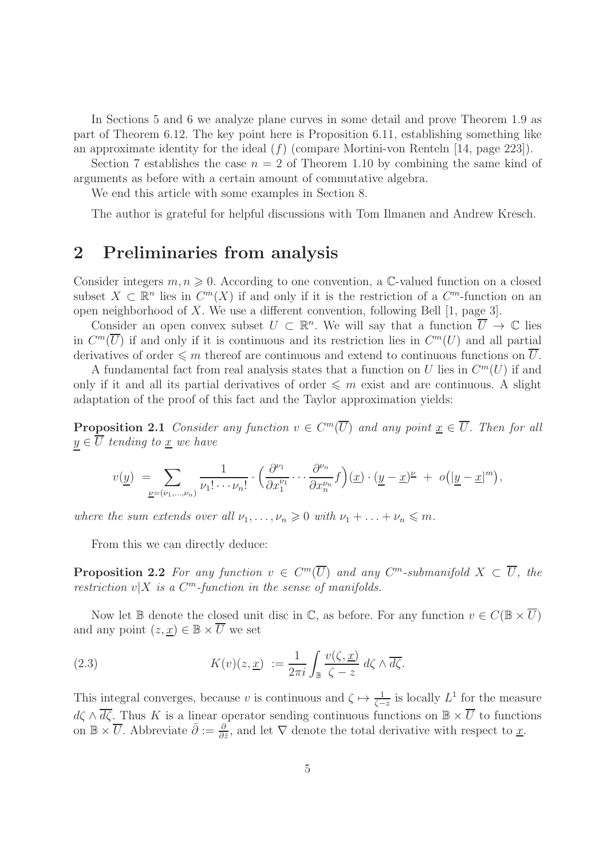In Sections 5 and 6 we analyze plane curves in some detail and prove Theorem 1.9 as part of Theorem 6.12. The key point here is Proposition 6.11, establishing something like an approximate identity for the ideal  $(f)$  (compare Mortini-von Renteln [14, page 223]).

Section 7 establishes the case  $n = 2$  of Theorem 1.10 by combining the same kind of arguments as before with a certain amount of commutative algebra.

We end this article with some examples in Section 8.

The author is grateful for helpful discussions with Tom Ilmanen and Andrew Kresch.

#### 2 Preliminaries from analysis

Consider integers  $m, n \geq 0$ . According to one convention, a C-valued function on a closed subset  $X \subset \mathbb{R}^n$  lies in  $C^m(X)$  if and only if it is the restriction of a  $C^m$ -function on an open neighborhood of X. We use a different convention, following Bell [1, page 3].

Consider an open convex subset  $U \subset \mathbb{R}^n$ . We will say that a function  $\overline{U} \to \mathbb{C}$  lies in  $C^m(\overline{U})$  if and only if it is continuous and its restriction lies in  $C^m(U)$  and all partial derivatives of order  $\leqslant m$  thereof are continuous and extend to continuous functions on  $\overline{U}$ .

A fundamental fact from real analysis states that a function on U lies in  $C<sup>m</sup>(U)$  if and only if it and all its partial derivatives of order  $\leqslant m$  exist and are continuous. A slight adaptation of the proof of this fact and the Taylor approximation yields:

**Proposition 2.1** Consider any function  $v \in C^m(\overline{U})$  and any point  $\underline{x} \in \overline{U}$ . Then for all  $y \in \overline{U}$  tending to <u>x</u> we have

$$
v(\underline{y}) = \sum_{\underline{\nu}=(\nu_1,\dots,\nu_n)} \frac{1}{\nu_1! \cdots \nu_n!} \cdot \left(\frac{\partial^{\nu_1}}{\partial x_1^{\nu_1}} \cdots \frac{\partial^{\nu_n}}{\partial x_n^{\nu_n}} f\right) (\underline{x}) \cdot (\underline{y} - \underline{x})^{\underline{\nu}} + o(|\underline{y} - \underline{x}|^m),
$$

where the sum extends over all  $\nu_1, \ldots, \nu_n \geq 0$  with  $\nu_1 + \ldots + \nu_n \leq m$ .

From this we can directly deduce:

**Proposition 2.2** For any function  $v \in C^m(\overline{U})$  and any  $C^m$ -submanifold  $X \subset \overline{U}$ , the restriction  $v|X$  is a  $C^m$ -function in the sense of manifolds.

Now let B denote the closed unit disc in  $\mathbb{C}$ , as before. For any function  $v \in C(\mathbb{B} \times \overline{U})$ and any point  $(z, \underline{x}) \in \mathbb{B} \times \overline{U}$  we set

(2.3) 
$$
K(v)(z, \underline{x}) := \frac{1}{2\pi i} \int_{\mathbb{B}} \frac{v(\zeta, \underline{x})}{\zeta - z} d\zeta \wedge \overline{d\zeta}.
$$

This integral converges, because v is continuous and  $\zeta \mapsto \frac{1}{\zeta - z}$  is locally  $L^1$  for the measure  $d\zeta \wedge \overline{d\zeta}$ . Thus K is a linear operator sending continuous functions on  $\mathbb{B} \times \overline{U}$  to functions on  $\mathbb{B} \times \overline{U}$ . Abbreviate  $\overline{\partial} := \frac{\partial}{\partial \overline{z}}$ , and let  $\nabla$  denote the total derivative with respect to <u>x</u>.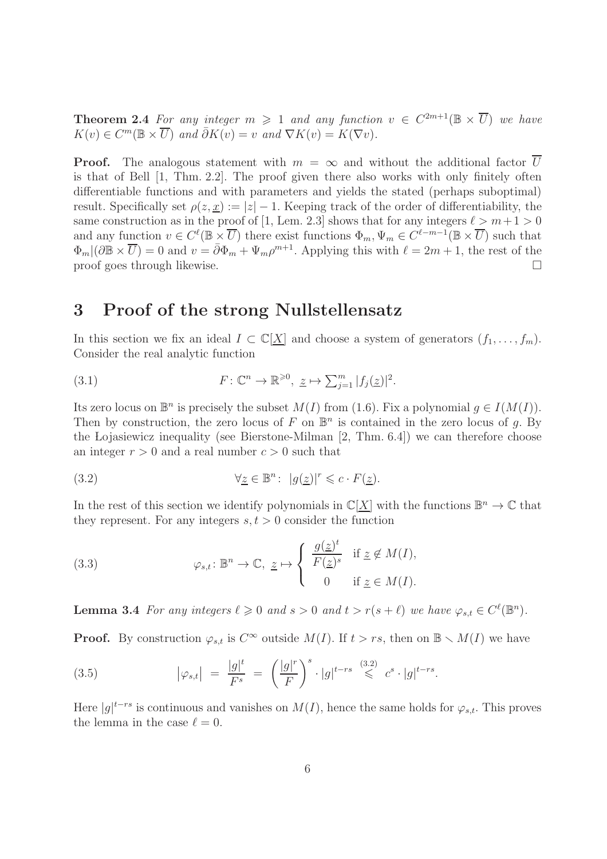**Theorem 2.4** For any integer  $m \geq 1$  and any function  $v \in C^{2m+1}(\mathbb{B} \times \overline{U})$  we have  $K(v) \in C^m(\mathbb{B} \times \overline{U})$  and  $\overline{\partial} K(v) = v$  and  $\nabla K(v) = K(\nabla v)$ .

**Proof.** The analogous statement with  $m = \infty$  and without the additional factor U is that of Bell [1, Thm. 2.2]. The proof given there also works with only finitely often differentiable functions and with parameters and yields the stated (perhaps suboptimal) result. Specifically set  $\rho(z, x) := |z| - 1$ . Keeping track of the order of differentiability, the same construction as in the proof of [1, Lem. 2.3] shows that for any integers  $\ell > m+1 > 0$ and any function  $v \in C^{\ell}(\mathbb{B} \times \overline{U})$  there exist functions  $\Phi_m, \Psi_m \in C^{\ell-m-1}(\mathbb{B} \times \overline{U})$  such that  $\Phi_m$   $(\partial \mathbb{B} \times \overline{U}) = 0$  and  $v = \overline{\partial} \Phi_m + \Psi_m \rho^{m+1}$ . Applying this with  $\ell = 2m + 1$ , the rest of the proof goes through likewise.

### 3 Proof of the strong Nullstellensatz

In this section we fix an ideal  $I \subset \mathbb{C}[\underline{X}]$  and choose a system of generators  $(f_1, \ldots, f_m)$ . Consider the real analytic function

(3.1) 
$$
F: \mathbb{C}^n \to \mathbb{R}^{\geq 0}, \underline{z} \mapsto \sum_{j=1}^m |f_j(\underline{z})|^2.
$$

Its zero locus on  $\mathbb{B}^n$  is precisely the subset  $M(I)$  from (1.6). Fix a polynomial  $g \in I(M(I))$ . Then by construction, the zero locus of F on  $\mathbb{B}^n$  is contained in the zero locus of g. By the Lojasiewicz inequality (see Bierstone-Milman [2, Thm. 6.4]) we can therefore choose an integer  $r > 0$  and a real number  $c > 0$  such that

(3.2) 
$$
\forall \underline{z} \in \mathbb{B}^n : |g(\underline{z})|^r \leqslant c \cdot F(\underline{z}).
$$

In the rest of this section we identify polynomials in  $\mathbb{C}[\underline{X}]$  with the functions  $\mathbb{B}^n \to \mathbb{C}$  that they represent. For any integers  $s, t > 0$  consider the function

(3.3) 
$$
\varphi_{s,t} \colon \mathbb{B}^n \to \mathbb{C}, \ \underline{z} \mapsto \left\{ \begin{array}{ll} \frac{g(\underline{z})^t}{F(\underline{z})^s} & \text{if } \underline{z} \notin M(I), \\ 0 & \text{if } \underline{z} \in M(I). \end{array} \right.
$$

**Lemma 3.4** For any integers  $\ell \geq 0$  and  $s > 0$  and  $t > r(s + \ell)$  we have  $\varphi_{s,t} \in C^{\ell}(\mathbb{B}^n)$ .

**Proof.** By construction  $\varphi_{s,t}$  is  $C^{\infty}$  outside  $M(I)$ . If  $t > rs$ , then on  $\mathbb{B} \setminus M(I)$  we have

(3.5) 
$$
|\varphi_{s,t}| = \frac{|g|^t}{F^s} = \left(\frac{|g|^r}{F}\right)^s \cdot |g|^{t-rs} \leqslant c^s \cdot |g|^{t-rs}.
$$

Here  $|g|^{t-rs}$  is continuous and vanishes on  $M(I)$ , hence the same holds for  $\varphi_{s,t}$ . This proves the lemma in the case  $\ell = 0$ .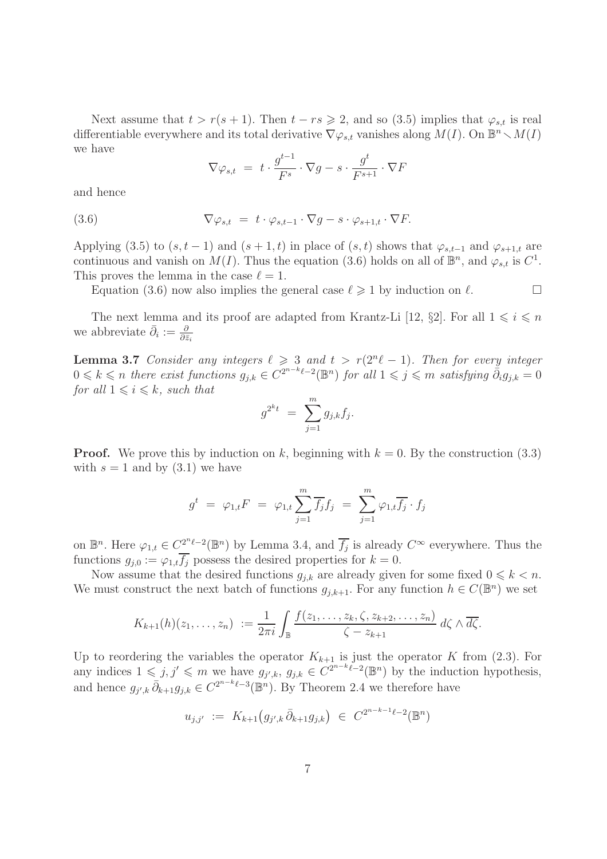Next assume that  $t > r(s + 1)$ . Then  $t - rs \geq 2$ , and so (3.5) implies that  $\varphi_{s,t}$  is real differentiable everywhere and its total derivative  $\nabla \varphi_{s,t}$  vanishes along  $M(I)$ . On  $\mathbb{B}^n \setminus M(I)$ we have

$$
\nabla \varphi_{s,t} = t \cdot \frac{g^{t-1}}{F^s} \cdot \nabla g - s \cdot \frac{g^t}{F^{s+1}} \cdot \nabla F
$$

and hence

(3.6) 
$$
\nabla \varphi_{s,t} = t \cdot \varphi_{s,t-1} \cdot \nabla g - s \cdot \varphi_{s+1,t} \cdot \nabla F.
$$

Applying (3.5) to  $(s, t-1)$  and  $(s+1, t)$  in place of  $(s, t)$  shows that  $\varphi_{s,t-1}$  and  $\varphi_{s+1,t}$  are continuous and vanish on  $M(I)$ . Thus the equation (3.6) holds on all of  $\mathbb{B}^n$ , and  $\varphi_{s,t}$  is  $C^1$ . This proves the lemma in the case  $\ell = 1$ .

Equation (3.6) now also implies the general case  $\ell \geq 1$  by induction on  $\ell$ .

The next lemma and its proof are adapted from Krantz-Li [12, §2]. For all  $1 \leq i \leq n$ we abbreviate  $\bar{\partial}_i := \frac{\partial}{\partial \bar{z}_i}$ 

**Lemma 3.7** Consider any integers  $\ell \geq 3$  and  $t > r(2^n\ell - 1)$ . Then for every integer  $0 \leq k \leq n$  there exist functions  $g_{j,k} \in C^{2^{n-k}\ell-2}(\mathbb{B}^n)$  for all  $1 \leq j \leq m$  satisfying  $\tilde{\partial}_i g_{j,k} = 0$ for all  $1 \leq i \leq k$ , such that

$$
g^{2^kt} = \sum_{j=1}^m g_{j,k} f_j.
$$

**Proof.** We prove this by induction on k, beginning with  $k = 0$ . By the construction (3.3) with  $s = 1$  and by  $(3.1)$  we have

$$
g^t = \varphi_{1,t} F = \varphi_{1,t} \sum_{j=1}^m \overline{f_j} f_j = \sum_{j=1}^m \varphi_{1,t} \overline{f_j} \cdot f_j
$$

on  $\mathbb{B}^n$ . Here  $\varphi_{1,t} \in C^{\underline{2}^n\ell-2}_{{\bf I}}(\mathbb{B}^n)$  by Lemma 3.4, and  $\overline{f_j}$  is already  $C^{\infty}$  everywhere. Thus the functions  $g_{i,0} := \varphi_{1,t} \overline{f_i}$  possess the desired properties for  $k = 0$ .

Now assume that the desired functions  $g_{j,k}$  are already given for some fixed  $0 \leq k \leq n$ . We must construct the next batch of functions  $g_{j,k+1}$ . For any function  $h \in C(\mathbb{B}^n)$  we set

$$
K_{k+1}(h)(z_1,\ldots,z_n) := \frac{1}{2\pi i} \int_{\mathbb{B}} \frac{f(z_1,\ldots,z_k,\zeta,z_{k+2},\ldots,z_n)}{\zeta-z_{k+1}} d\zeta \wedge \overline{d\zeta}.
$$

Up to reordering the variables the operator  $K_{k+1}$  is just the operator K from (2.3). For any indices  $1 \leq j, j' \leq m$  we have  $g_{j',k}, g_{j,k} \in C^{2^{n-k}\ell-2}(\mathbb{B}^n)$  by the induction hypothesis, and hence  $g_{j',k} \bar{\partial}_{k+1} g_{j,k} \in C^{2^{n-k}\ell-3}(\mathbb{B}^n)$ . By Theorem 2.4 we therefore have

$$
u_{j,j'} := K_{k+1}(g_{j',k}\,\bar{\partial}_{k+1}g_{j,k}) \in C^{2^{n-k-1}\ell-2}(\mathbb{B}^n)
$$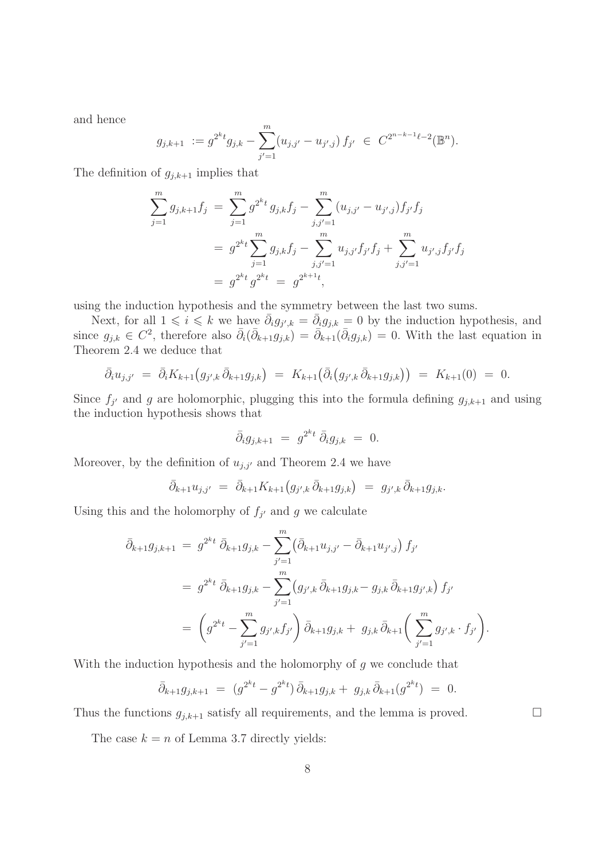and hence

$$
g_{j,k+1} := g^{2^k t} g_{j,k} - \sum_{j'=1}^m (u_{j,j'} - u_{j',j}) f_{j'} \in C^{2^{n-k-1} \ell - 2}(\mathbb{B}^n).
$$

The definition of  $g_{i,k+1}$  implies that

$$
\sum_{j=1}^{m} g_{j,k+1} f_j = \sum_{j=1}^{m} g^{2^{k}t} g_{j,k} f_j - \sum_{j,j'=1}^{m} (u_{j,j'} - u_{j',j}) f_{j'} f_j
$$
  
=  $g^{2^{k}t} \sum_{j=1}^{m} g_{j,k} f_j - \sum_{j,j'=1}^{m} u_{j,j'} f_{j'} f_j + \sum_{j,j'=1}^{m} u_{j',j} f_{j'} f_j$   
=  $g^{2^{k}t} g^{2^{k}t} = g^{2^{k+1}t}$ ,

using the induction hypothesis and the symmetry between the last two sums.

Next, for all  $1 \leq i \leq k$  we have  $\bar{\partial}_i g_{j',k} = \bar{\partial}_i g_{j,k} = 0$  by the induction hypothesis, and since  $g_{j,k} \in C^2$ , therefore also  $\bar{\partial}_i(\bar{\partial}_{k+1}g_{j,k}) = \bar{\partial}_{k+1}(\bar{\partial}_ig_{j,k}) = 0$ . With the last equation in Theorem 2.4 we deduce that

$$
\bar{\partial}_i u_{j,j'} = \bar{\partial}_i K_{k+1} (g_{j',k} \bar{\partial}_{k+1} g_{j,k}) = K_{k+1} (\bar{\partial}_i (g_{j',k} \bar{\partial}_{k+1} g_{j,k})) = K_{k+1}(0) = 0.
$$

Since  $f_{j'}$  and g are holomorphic, plugging this into the formula defining  $g_{j,k+1}$  and using the induction hypothesis shows that

$$
\bar{\partial}_i g_{j,k+1} = g^{2^k t} \bar{\partial}_i g_{j,k} = 0.
$$

Moreover, by the definition of  $u_{j,j'}$  and Theorem 2.4 we have

$$
\bar{\partial}_{k+1} u_{j,j'} = \bar{\partial}_{k+1} K_{k+1} (g_{j',k} \bar{\partial}_{k+1} g_{j,k}) = g_{j',k} \bar{\partial}_{k+1} g_{j,k}.
$$

Using this and the holomorphy of  $f_{j'}$  and g we calculate

$$
\bar{\partial}_{k+1} g_{j,k+1} = g^{2kt} \bar{\partial}_{k+1} g_{j,k} - \sum_{j'=1}^m \left( \bar{\partial}_{k+1} u_{j,j'} - \bar{\partial}_{k+1} u_{j',j} \right) f_{j'}
$$
\n
$$
= g^{2kt} \bar{\partial}_{k+1} g_{j,k} - \sum_{j'=1}^m \left( g_{j',k} \bar{\partial}_{k+1} g_{j,k} - g_{j,k} \bar{\partial}_{k+1} g_{j',k} \right) f_{j'}
$$
\n
$$
= \left( g^{2kt} - \sum_{j'=1}^m g_{j',k} f_{j'} \right) \bar{\partial}_{k+1} g_{j,k} + g_{j,k} \bar{\partial}_{k+1} \left( \sum_{j'=1}^m g_{j',k} \cdot f_{j'} \right).
$$

With the induction hypothesis and the holomorphy of  $g$  we conclude that

$$
\bar{\partial}_{k+1}g_{j,k+1} = (g^{2^kt} - g^{2^kt}) \bar{\partial}_{k+1}g_{j,k} + g_{j,k} \bar{\partial}_{k+1}(g^{2^kt}) = 0.
$$

Thus the functions  $g_{j,k+1}$  satisfy all requirements, and the lemma is proved.  $\Box$ 

The case  $k = n$  of Lemma 3.7 directly yields: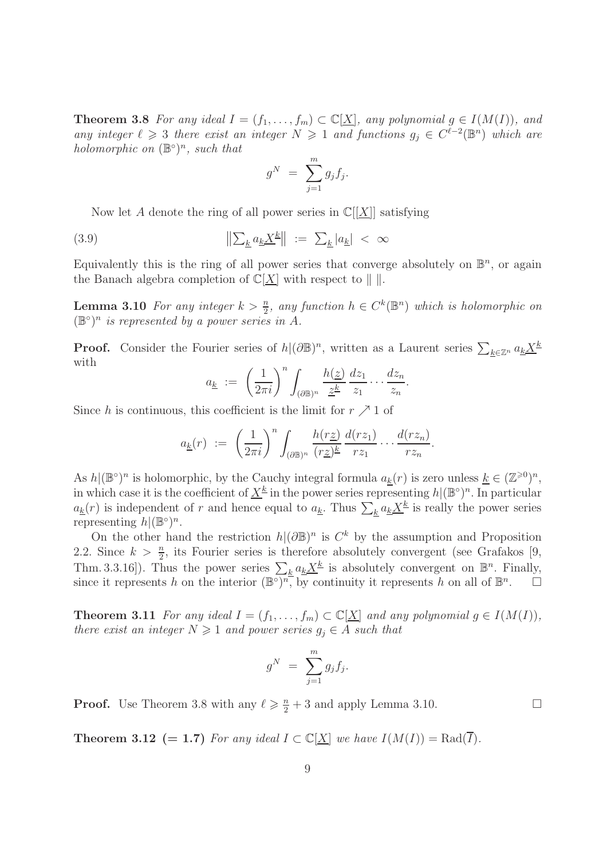**Theorem 3.8** For any ideal  $I = (f_1, \ldots, f_m) \subset \mathbb{C}[\underline{X}]$ , any polynomial  $g \in I(M(I))$ , and any integer  $\ell \geq 3$  there exist an integer  $N \geq 1$  and functions  $g_j \in C^{\ell-2}(\mathbb{B}^n)$  which are holomorphic on  $(\mathbb{B}^{\circ})^n$ , such that

$$
g^N = \sum_{j=1}^m g_j f_j.
$$

Now let A denote the ring of all power series in  $\mathbb{C}[[X]]$  satisfying

(3.9) 
$$
\|\sum_{\underline{k}} a_{\underline{k}} \underline{X}^{\underline{k}}\| := \sum_{\underline{k}} |a_{\underline{k}}| < \infty
$$

Equivalently this is the ring of all power series that converge absolutely on  $\mathbb{B}^n$ , or again the Banach algebra completion of  $\mathbb{C}[\underline{X}]$  with respect to  $\|\cdot\|$ .

**Lemma 3.10** For any integer  $k > \frac{n}{2}$ , any function  $h \in C^k(\mathbb{B}^n)$  which is holomorphic on  $(\mathbb{B}^{\circ})^n$  is represented by a power series in A.

**Proof.** Consider the Fourier series of  $h | (\partial \mathbb{B})^n$ , written as a Laurent series  $\sum_{\underline{k} \in \mathbb{Z}^n} a_{\underline{k}} \underline{X}^{\underline{k}}$ with

$$
a_{\underline{k}} := \left(\frac{1}{2\pi i}\right)^n \int_{(\partial \mathbb{B})^n} \frac{h(\underline{z})}{\underline{z}^{\underline{k}}} \frac{dz_1}{z_1} \cdots \frac{dz_n}{z_n}.
$$

Since h is continuous, this coefficient is the limit for  $r \nearrow 1$  of

$$
a_{\underline{k}}(r) := \left(\frac{1}{2\pi i}\right)^n \int_{(\partial \mathbb{B})^n} \frac{h(r\underline{z})}{(r\underline{z})^{\underline{k}}} \frac{d(rz_1)}{rz_1} \cdots \frac{d(rz_n)}{rz_n}.
$$

As  $h|(\mathbb{B}^{\circ})^n$  is holomorphic, by the Cauchy integral formula  $a_{\underline{k}}(r)$  is zero unless  $\underline{k} \in (\mathbb{Z}^{\geqslant 0})^n$ , in which case it is the coefficient of  $\underline{X}^{\underline{k}}$  in the power series representing  $h|(\mathbb{B}^{\circ})^n$ . In particular  $a_k(r)$  is independent of r and hence equal to  $a_k$ . Thus  $\sum_k a_k \underline{X}^k$  is really the power series representing  $h|(\mathbb{B}^{\circ})^n$ .

On the other hand the restriction  $h|(\partial \mathbb{B})^n$  is  $C^k$  by the assumption and Proposition 2.2. Since  $k > \frac{n}{2}$ , its Fourier series is therefore absolutely convergent (see Grafakos [9, Thm. 3.3.16]). Thus the power series  $\sum_{k} a_k \underline{X^k}$  is absolutely convergent on  $\mathbb{B}^n$ . Finally, since it represents h on the interior  $(\mathbb{B}^{\circ})^n$ , by continuity it represents h on all of  $\mathbb{B}^n$  $\Box$ 

**Theorem 3.11** For any ideal  $I = (f_1, \ldots, f_m) \subset \mathbb{C}[\underline{X}]$  and any polynomial  $g \in I(M(I)),$ there exist an integer  $N \geq 1$  and power series  $g_i \in A$  such that

$$
g^N = \sum_{j=1}^m g_j f_j.
$$

**Proof.** Use Theorem 3.8 with any  $\ell \geq \frac{n}{2} + 3$  and apply Lemma 3.10.

**Theorem 3.12** (= 1.7) For any ideal  $I \subset \mathbb{C}[\underline{X}]$  we have  $I(M(I)) = \text{Rad}(\overline{I}).$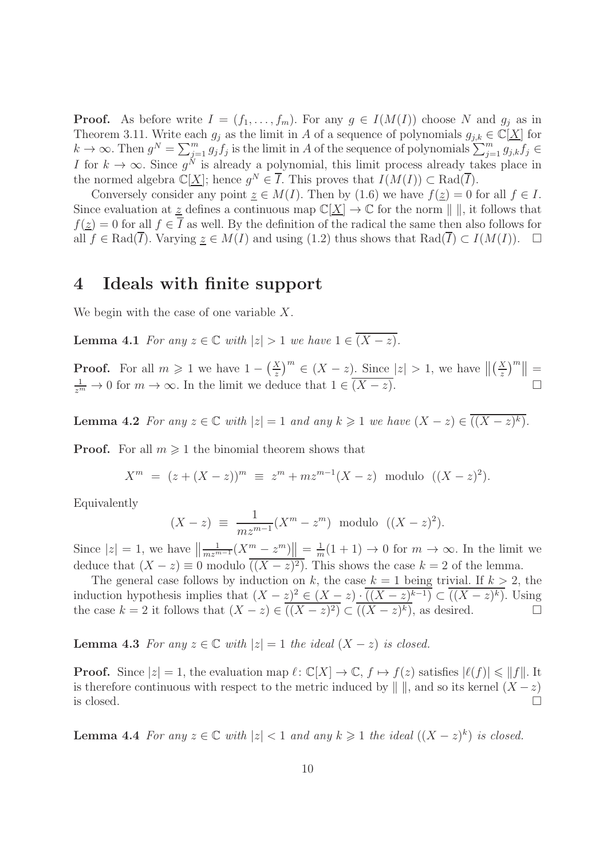**Proof.** As before write  $I = (f_1, \ldots, f_m)$ . For any  $g \in I(M(I))$  choose N and  $g_j$  as in Theorem 3.11. Write each  $g_j$  as the limit in A of a sequence of polynomials  $g_{j,k} \in \mathbb{C}[\underline{X}]$  for  $k \to \infty$ . Then  $g^N = \sum_{j=1}^m g_j f_j$  is the limit in A of the sequence of polynomials  $\sum_{j=1}^m g_{j,k} f_j \in$ I for  $k \to \infty$ . Since  $g^N$  is already a polynomial, this limit process already takes place in the normed algebra  $\mathbb{C}[\underline{X}]$ ; hence  $g^N \in \overline{I}$ . This proves that  $I(M(I)) \subset \text{Rad}(\overline{I})$ .

Conversely consider any point  $\underline{z} \in M(I)$ . Then by (1.6) we have  $f(\underline{z}) = 0$  for all  $f \in I$ . Since evaluation at z defines a continuous map  $\mathbb{C}[\underline{X}] \to \mathbb{C}$  for the norm  $\|\cdot\|$ , it follows that  $f(z) = 0$  for all  $f \in \overline{I}$  as well. By the definition of the radical the same then also follows for all  $f \in \text{Rad}(\overline{I})$ . Varying  $\underline{z} \in M(I)$  and using  $(1.2)$  thus shows that  $\text{Rad}(\overline{I}) \subset I(M(I))$ .  $\square$ 

#### 4 Ideals with finite support

We begin with the case of one variable X.

**Lemma 4.1** For any  $z \in \mathbb{C}$  with  $|z| > 1$  we have  $1 \in \overline{(X - z)}$ .

**Proof.** For all  $m \ge 1$  we have  $1 - \left(\frac{X}{z}\right)^m \in (X - z)$ . Since  $|z| > 1$ , we have  $\left\| \left(\frac{X}{z}\right)^m \right\| = \frac{1}{z^m} \to 0$  for  $m \to \infty$ . In the limit we deduce that  $1 \in \overline{(X - z)}$ .

**Lemma 4.2** For any  $z \in \mathbb{C}$  with  $|z| = 1$  and any  $k \geq 1$  we have  $(X - z) \in ((X - z)^k)$ .

**Proof.** For all  $m \geq 1$  the binomial theorem shows that

$$
X^{m} = (z + (X - z))^{m} \equiv z^{m} + mz^{m-1}(X - z) \text{ modulo } ((X - z)^{2}).
$$

Equivalently

$$
(X - z) \equiv \frac{1}{m z^{m-1}} (X^m - z^m) \text{ modulo } ((X - z)^2).
$$

Since  $|z| = 1$ , we have  $\left\| \frac{1}{m z^{m-1}} (X^m - z^m) \right\| = \frac{1}{m}$  $\frac{1}{m}(1+1) \to 0$  for  $m \to \infty$ . In the limit we deduce that  $(X - z) \equiv 0$  modulo  $((X - z)^2)$ . This shows the case  $k = 2$  of the lemma.

The general case follows by induction on k, the case  $k = 1$  being trivial. If  $k > 2$ , the induction hypothesis implies that  $(X - z)^2 \in (X - z) \cdot ((X - z)^{k-1}) \subset ((X - z)^k)$ . Using the case  $k = 2$  it follows that  $(X - z) \in ((X - z)^2) \subset ((X - z)^k)$ , as desired.

**Lemma 4.3** For any  $z \in \mathbb{C}$  with  $|z| = 1$  the ideal  $(X - z)$  is closed.

**Proof.** Since  $|z|=1$ , the evaluation map  $\ell: \mathbb{C}[X] \to \mathbb{C}$ ,  $f \mapsto f(z)$  satisfies  $|\ell(f)| \leq ||f||$ . It is therefore continuous with respect to the metric induced by  $\| \|$ , and so its kernel  $(X - z)$  is closed. is closed.  $\Box$ 

**Lemma 4.4** For any  $z \in \mathbb{C}$  with  $|z| < 1$  and any  $k \geq 1$  the ideal  $((X - z)^k)$  is closed.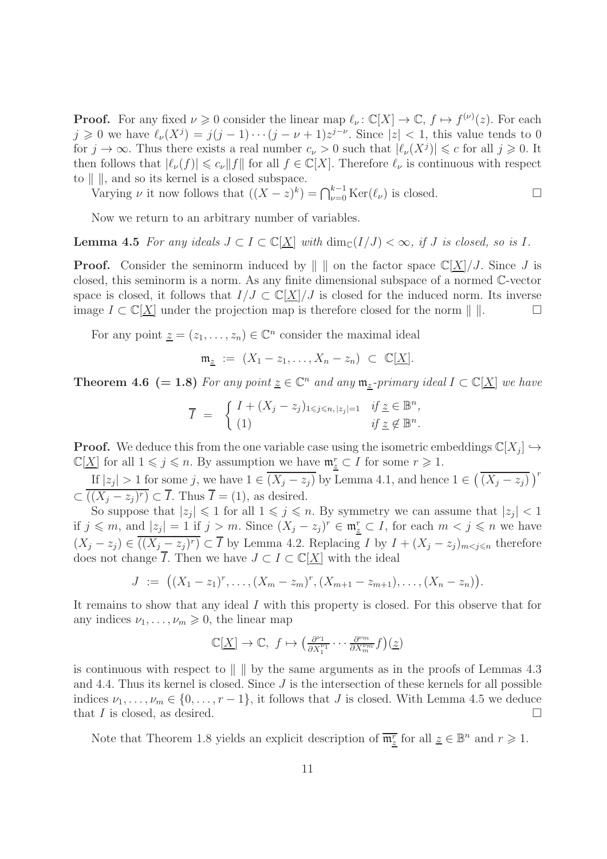**Proof.** For any fixed  $\nu \ge 0$  consider the linear map  $\ell_{\nu} : \mathbb{C}[X] \to \mathbb{C}, f \mapsto f^{(\nu)}(z)$ . For each  $j \geq 0$  we have  $\ell_{\nu}(X^{j}) = j(j-1)\cdots(j-\nu+1)z^{j-\nu}$ . Since  $|z| < 1$ , this value tends to 0 for  $j \to \infty$ . Thus there exists a real number  $c_{\nu} > 0$  such that  $|\ell_{\nu}(X^{j})| \leq c$  for all  $j \geq 0$ . It then follows that  $|\ell_{\nu}(f)| \leq c_{\nu} ||f||$  for all  $f \in \mathbb{C}[X]$ . Therefore  $\ell_{\nu}$  is continuous with respect to  $\| \cdot \|$ , and so its kernel is a closed subspace.

Varying  $\nu$  it now follows that  $((X - z)^k) = \bigcap_{\nu=0}^{k-1} \text{Ker}(\ell_\nu)$  is closed.

Now we return to an arbitrary number of variables.

**Lemma 4.5** For any ideals  $J \subset I \subset \mathbb{C}[X]$  with  $\dim_{\mathbb{C}}(I/J) < \infty$ , if J is closed, so is I.

**Proof.** Consider the seminorm induced by  $\| \|$  on the factor space  $\mathbb{C}[\underline{X}]/J$ . Since J is closed, this seminorm is a norm. As any finite dimensional subspace of a normed C-vector space is closed, it follows that  $I/J \subset \mathbb{C}[\underline{X}]/J$  is closed for the induced norm. Its inverse<br>image  $I \subset \mathbb{C}[X]$  under the projection map is therefore closed for the norm  $\mathbb{L}[\underline{X}]$ image  $I \subset \mathbb{C}[\underline{X}]$  under the projection map is therefore closed for the norm  $\| \cdot \|$ .

For any point  $\underline{z} = (z_1, \ldots, z_n) \in \mathbb{C}^n$  consider the maximal ideal

$$
\mathfrak{m}_{\underline{z}} := (X_1 - z_1, \dots, X_n - z_n) \subset \mathbb{C}[\underline{X}].
$$

**Theorem 4.6** (= 1.8) For any point  $\underline{z} \in \mathbb{C}^n$  and any  $\mathfrak{m}_{\underline{z}}$ -primary ideal  $I \subset \mathbb{C}[\underline{X}]$  we have

$$
\overline{I} = \begin{cases} I + (X_j - z_j)_{1 \leq j \leq n, |z_j| = 1} & \text{if } \underline{z} \in \mathbb{B}^n, \\ (1) & \text{if } \underline{z} \notin \mathbb{B}^n. \end{cases}
$$

**Proof.** We deduce this from the one variable case using the isometric embeddings  $\mathbb{C}[X_j] \hookrightarrow$  $\mathbb{C}[\underline{X}]$  for all  $1 \leqslant j \leqslant n$ . By assumption we have  $\mathfrak{m}_{\underline{z}}^r \subset I$  for some  $r \geqslant 1$ .

If  $|z_j| > 1$  for some j, we have  $1 \in \overline{(X_j - z_j)}$  by Lemma 4.1, and hence  $1 \in \left(\overline{(X_j - z_j)}\right)^r$  $\subset ((X_j - z_j)^r) \subset \overline{I}$ . Thus  $\overline{I} = (1)$ , as desired.

So suppose that  $|z_j| \leq 1$  for all  $1 \leq j \leq n$ . By symmetry we can assume that  $|z_j| < 1$ if  $j \leq m$ , and  $|z_j| = 1$  if  $j > m$ . Since  $(X_j - z_j)^r \in \mathfrak{m}_{\underline{z}}^r \subset I$ , for each  $m < j \leq n$  we have  $(X_j - z_j) \in ((X_j - z_j)^r) \subset \overline{I}$  by Lemma 4.2. Replacing I by  $I + (X_j - z_j)_{m \le j \le n}$  therefore does not change I. Then we have  $J \subset I \subset \mathbb{C}[\underline{X}]$  with the ideal

$$
J := ((X_1 - z_1)^r, \ldots, (X_m - z_m)^r, (X_{m+1} - z_{m+1}), \ldots, (X_n - z_n)).
$$

It remains to show that any ideal I with this property is closed. For this observe that for any indices  $\nu_1, \ldots, \nu_m \geqslant 0$ , the linear map

$$
\mathbb{C}[\underline{X}] \to \mathbb{C}, \ f \mapsto \left(\frac{\partial^{\nu_1}}{\partial X_1^{\nu_1}} \cdots \frac{\partial^{\nu_m}}{\partial X_m^{\nu_m}} f\right)(\underline{z})
$$

is continuous with respect to  $\| \cdot \|$  by the same arguments as in the proofs of Lemmas 4.3 and 4.4. Thus its kernel is closed. Since  $J$  is the intersection of these kernels for all possible indices  $\nu_1, \ldots, \nu_m \in \{0, \ldots, r-1\}$ , it follows that J is closed. With Lemma 4.5 we deduce that J is closed. as desired. that  $I$  is closed, as desired.

Note that Theorem 1.8 yields an explicit description of  $\overline{\mathfrak{m}^r_{\underline{z}}}$  for all  $\underline{z} \in \mathbb{B}^n$  and  $r \geq 1$ .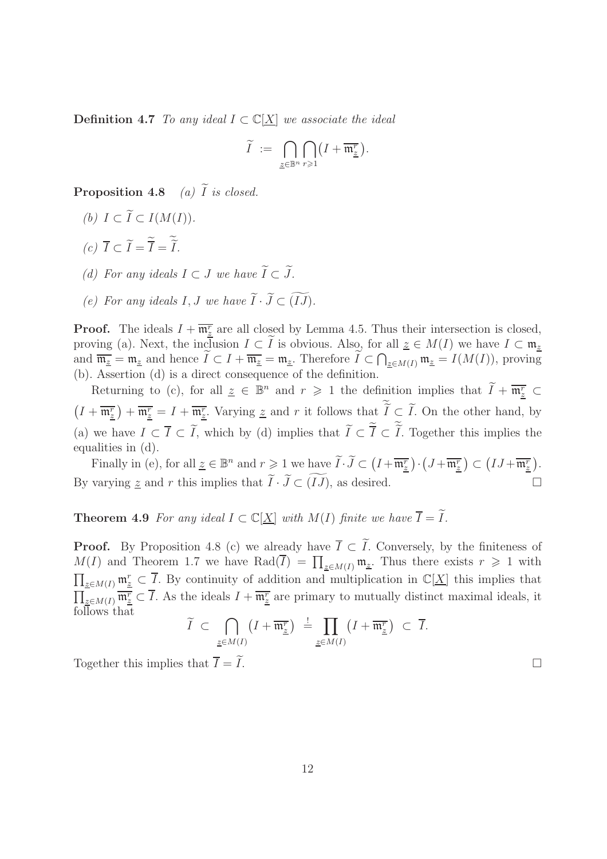**Definition 4.7** To any ideal  $I \subset \mathbb{C}[X]$  we associate the ideal

$$
\widetilde{I}\ :=\ \bigcap_{\underline{z}\in\mathbb{B}^n}\bigcap_{r\geqslant 1}\bigl(I+\overline{\mathfrak{m}^r_{\underline{z}}}\bigr).
$$

**Proposition 4.8** (a)  $\widetilde{I}$  is closed.

- (b)  $I \subset \widetilde{I} \subset I(M(I)).$
- (c)  $I \subset I = I = I$ .
- (d) For any ideals  $I \subset J$  we have  $\widetilde{I} \subset \widetilde{J}$ .
- (e) For any ideals I, J we have  $\widetilde{I} \cdot \widetilde{J} \subset (\widetilde{IJ})$ .

**Proof.** The ideals  $I + \overline{\mathfrak{m}_{z}^{r}}$  are all closed by Lemma 4.5. Thus their intersection is closed, proving (a). Next, the inclusion  $I \subset \tilde{I}$  is obvious. Also, for all  $\underline{z} \in M(I)$  we have  $I \subset \mathfrak{m}_z$ and  $\overline{\mathfrak{m}_{\underline{z}}} = \mathfrak{m}_{\underline{z}}$  and hence  $\widetilde{I} \subset I + \overline{\mathfrak{m}_{\underline{z}}} = \mathfrak{m}_{\underline{z}}$ . Therefore  $\widetilde{I} \subset \bigcap_{\underline{z} \in M(I)} \mathfrak{m}_{\underline{z}} = I(M(I))$ , proving (b). Assertion (d) is a direct consequence of the definition.

Returning to (c), for all  $\underline{z} \in \mathbb{B}^n$  and  $r \geq 1$  the definition implies that  $\widetilde{I} + \overline{\mathfrak{m}^r_{\underline{z}}} \subset$  $\left(I+\overline{\mathfrak{m}^r_{\underline{z}}}\right)+\overline{\mathfrak{m}^r_{\underline{z}}}=I+\overline{\mathfrak{m}^r_{\underline{z}}}$ . Varying  $\underline{z}$  and r it follows that  $\widetilde{I}\subset \widetilde{I}$ . On the other hand, by (a) we have  $I \subset I \subset I$ , which by (d) implies that  $I \subset I \subset I$ . Together this implies the equalities in (d).

Finally in (e), for all  $\underline{z} \in \mathbb{B}^n$  and  $r \geqslant 1$  we have  $\widetilde{I} \cdot \widetilde{J} \subset (I + \overline{\mathfrak{m}^r_{\underline{z}}}) \cdot (J + \overline{\mathfrak{m}^r_{\underline{z}}}) \subset (IJ + \overline{\mathfrak{m}^r_{\underline{z}}}).$ By varying z and r this implies that  $\widetilde{I} \cdot \widetilde{J} \subset \widetilde{(IJ)}$ , as desired.

#### **Theorem 4.9** For any ideal  $I \subset \mathbb{C}[\underline{X}]$  with  $M(I)$  finite we have  $\overline{I} = \widetilde{I}$ .

**Proof.** By Proposition 4.8 (c) we already have  $\overline{I} \subset \widetilde{I}$ . Conversely, by the finiteness of  $M(I)$  and Theorem 1.7 we have Rad $(\overline{I}) = \prod_{\underline{z} \in M(I)} \mathfrak{m}_{\underline{z}}$ . Thus there exists  $r \geq 1$  with  $\prod_{\underline{z}\in M(I)} \mathfrak{m}_{\underline{z}}^r \subset \overline{I}$ . By continuity of addition and multiplication in  $\mathbb{C}[\underline{X}]$  this implies that  $\prod_{\underline{z}\in M(I)} \overline{\mathfrak{m}^r_{\underline{z}}} \subset \overline{I}$ . As the ideals  $I + \overline{\mathfrak{m}^r_{\underline{z}}}$  are primary to mutually distinct maximal ideals, it follows that

$$
\widetilde{I} \subset \bigcap_{\underline{z} \in M(I)} \left( I + \overline{\mathfrak{m}^r_{\underline{z}}} \right) \stackrel{!}{=} \prod_{\underline{z} \in M(I)} \left( I + \overline{\mathfrak{m}^r_{\underline{z}}} \right) \subset \overline{I}.
$$

Together this implies that  $\overline{I} = \widetilde{I}$ .

12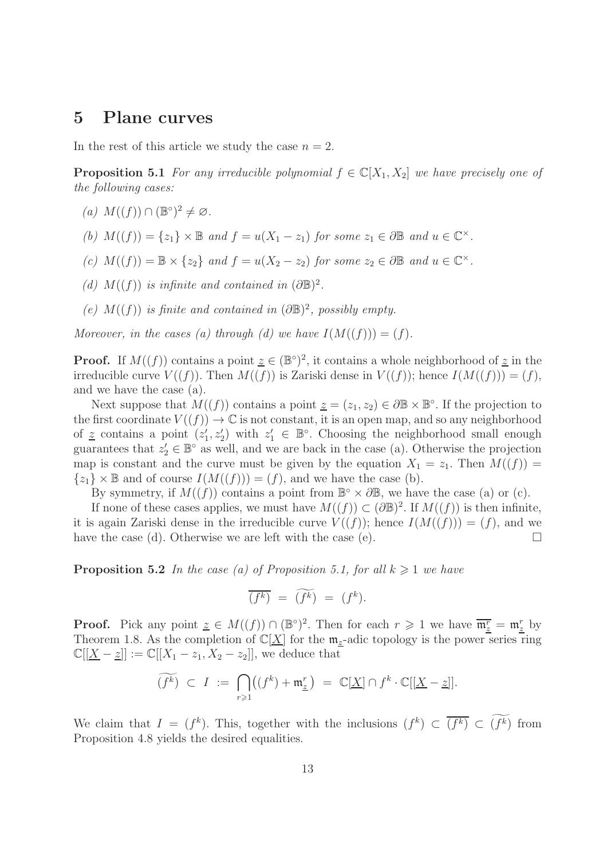#### 5 Plane curves

In the rest of this article we study the case  $n = 2$ .

**Proposition 5.1** For any irreducible polynomial  $f \in \mathbb{C}[X_1, X_2]$  we have precisely one of the following cases:

- (a)  $M((f)) \cap (\mathbb{B}^{\circ})^2 \neq \varnothing$ .
- (b)  $M((f)) = \{z_1\} \times \mathbb{B}$  and  $f = u(X_1 z_1)$  for some  $z_1 \in \partial \mathbb{B}$  and  $u \in \mathbb{C}^\times$ .
- (c)  $M((f)) = \mathbb{B} \times \{z_2\}$  and  $f = u(X_2 z_2)$  for some  $z_2 \in \partial \mathbb{B}$  and  $u \in \mathbb{C}^\times$ .
- (d)  $M((f))$  is infinite and contained in  $(\partial \mathbb{B})^2$ .
- (e)  $M((f))$  is finite and contained in  $(\partial \mathbb{B})^2$ , possibly empty.

Moreover, in the cases (a) through (d) we have  $I(M((f))) = (f)$ .

**Proof.** If  $M((f))$  contains a point  $\underline{z} \in (\mathbb{B}^{\circ})^2$ , it contains a whole neighborhood of  $\underline{z}$  in the irreducible curve  $V((f))$ . Then  $M((f))$  is Zariski dense in  $V((f))$ ; hence  $I(M((f))) = (f)$ , and we have the case (a).

Next suppose that  $M((f))$  contains a point  $\underline{z} = (z_1, z_2) \in \partial \mathbb{B} \times \mathbb{B}^{\circ}$ . If the projection to the first coordinate  $V((f)) \to \mathbb{C}$  is not constant, it is an open map, and so any neighborhood of z contains a point  $(z'_1, z'_2)$  with  $z'_1 \in \mathbb{B}^{\circ}$ . Choosing the neighborhood small enough guarantees that  $z_2' \in \mathbb{B}^{\circ}$  as well, and we are back in the case (a). Otherwise the projection map is constant and the curve must be given by the equation  $X_1 = z_1$ . Then  $M((f)) =$  $\{z_1\} \times \mathbb{B}$  and of course  $I(M((f))) = (f)$ , and we have the case (b).

By symmetry, if  $M((f))$  contains a point from  $\mathbb{B}^{\circ} \times \partial \mathbb{B}$ , we have the case (a) or (c).

If none of these cases applies, we must have  $M((f)) \subset (\partial \mathbb{B})^2$ . If  $M((f))$  is then infinite, it is again Zariski dense in the irreducible curve  $V((f))$ ; hence  $I(M((f))) = (f)$ , and we have the case (d). Otherwise we are left with the case (e).  $\Box$ 

**Proposition 5.2** In the case (a) of Proposition 5.1, for all  $k \geq 1$  we have

$$
\overline{(f^k)} = \widetilde{(f^k)} = (f^k).
$$

**Proof.** Pick any point  $\underline{z} \in M((f)) \cap (\mathbb{B}^{\circ})^2$ . Then for each  $r \geq 1$  we have  $\overline{\mathfrak{m}^r_{\underline{z}}} = \mathfrak{m}^r_{\underline{z}}$  by Theorem 1.8. As the completion of  $\mathbb{C}[\underline{X}]$  for the  $\mathfrak{m}_z$ -adic topology is the power series ring  $\mathbb{C}[[X-z]] := \mathbb{C}[[X_1-z_1, X_2-z_2]],$  we deduce that

$$
\widetilde{(f^k)} \ \subset \ I \ := \ \bigcap_{r \geqslant 1} \left( (f^k) + \mathfrak{m}^r_{\underline{z}} \right) \ = \ \mathbb{C}[\underline{X}] \cap f^k \cdot \mathbb{C}[[\underline{X} - \underline{z}]].
$$

We claim that  $I = (f^k)$ . This, together with the inclusions  $(f^k) \subset \overline{(f^k)} \subset (f^k)$  from Proposition 4.8 yields the desired equalities.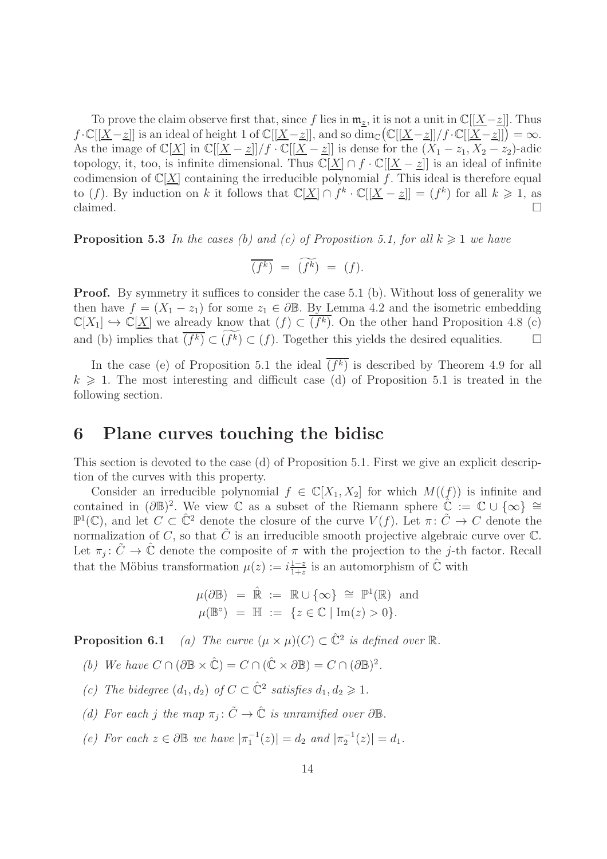To prove the claim observe first that, since f lies in  $\mathfrak{m}_z$ , it is not a unit in  $\mathbb{C}[[X-z]]$ . Thus  $f \cdot \mathbb{C}[[\underline{X} - \underline{z}]]$  is an ideal of height 1 of  $\mathbb{C}[[\underline{X} - \underline{z}]]$ , and so  $\dim_{\mathbb{C}} (\mathbb{C}[[\underline{X} - \underline{z}]]/f \cdot \mathbb{C}[[\underline{X} - \underline{z}]]) = \infty$ . As the image of  $\mathbb{C}[\underline{X}]$  in  $\mathbb{C}[[\underline{X}-\underline{z}]]/f \cdot \mathbb{C}[[\underline{X}-\underline{z}]]$  is dense for the  $(X_1-z_1, X_2-z_2)$ -adic topology, it, too, is infinite dimensional. Thus  $\mathbb{C}[\underline{X}] \cap f \cdot \mathbb{C}[[\underline{X} - \underline{z}]]$  is an ideal of infinite codimension of  $\mathbb{C}[X]$  containing the irreducible polynomial f. This ideal is therefore equal to (f). By induction on k it follows that  $\mathbb{C}[\underline{X}] \cap f^k \cdot \mathbb{C}[[\underline{X} - \underline{z}]] = (f^k)$  for all  $k \geq 1$ , as claimed.  $\Box$ 

**Proposition 5.3** In the cases (b) and (c) of Proposition 5.1, for all  $k \geq 1$  we have

$$
\overline{(f^k)} = \widetilde{(f^k)} = (f).
$$

**Proof.** By symmetry it suffices to consider the case 5.1 (b). Without loss of generality we then have  $f = (X_1 - z_1)$  for some  $z_1 \in \partial \mathbb{B}$ . By Lemma 4.2 and the isometric embedding  $\mathbb{C}[X_1] \hookrightarrow \mathbb{C}[\underline{X}]$  we already know that  $(f) \subset (f^k)$ . On the other hand Proposition 4.8 (c) and (b) implies that  $(f^k) \subset (f^k) \subset (f)$ . Together this yields the desired equalities.  $\Box$ 

In the case (e) of Proposition 5.1 the ideal  $(f^k)$  is described by Theorem 4.9 for all  $k \geq 1$ . The most interesting and difficult case (d) of Proposition 5.1 is treated in the following section.

## 6 Plane curves touching the bidisc

This section is devoted to the case (d) of Proposition 5.1. First we give an explicit description of the curves with this property.

Consider an irreducible polynomial  $f \in \mathbb{C}[X_1, X_2]$  for which  $M((f))$  is infinite and contained in  $(\partial \mathbb{B})^2$ . We view  $\mathbb{C}$  as a subset of the Riemann sphere  $\hat{\mathbb{C}} := \mathbb{C} \cup \{\infty\} \cong$  $\mathbb{P}^1(\mathbb{C})$ , and let  $C \subset \hat{\mathbb{C}}^2$  denote the closure of the curve  $V(f)$ . Let  $\pi: \tilde{C} \to C$  denote the normalization of C, so that  $\tilde{C}$  is an irreducible smooth projective algebraic curve over  $\mathbb{C}$ . Let  $\pi_j : \tilde{C} \to \tilde{\mathbb{C}}$  denote the composite of  $\pi$  with the projection to the j-th factor. Recall that the Möbius transformation  $\mu(z) := i \frac{1-z}{1+z}$  $\frac{1-z}{1+z}$  is an automorphism of  $\hat{\mathbb{C}}$  with

$$
\mu(\partial \mathbb{B}) = \hat{\mathbb{R}} := \mathbb{R} \cup \{\infty\} \cong \mathbb{P}^1(\mathbb{R}) \text{ and}
$$

$$
\mu(\mathbb{B}^{\circ}) = \mathbb{H} := \{z \in \mathbb{C} \mid \text{Im}(z) > 0\}.
$$

**Proposition 6.1** (a) The curve  $(\mu \times \mu)(C) \subset \hat{C}^2$  is defined over  $\mathbb{R}$ .

(b) We have  $C \cap (\partial \mathbb{B} \times \hat{\mathbb{C}}) = C \cap (\hat{\mathbb{C}} \times \partial \mathbb{B}) = C \cap (\partial \mathbb{B})^2$ .

- (c) The bidegree  $(d_1, d_2)$  of  $C \subset \hat{C}^2$  satisfies  $d_1, d_2 \geq 1$ .
- (d) For each j the map  $\pi_j : \tilde{C} \to \hat{\mathbb{C}}$  is unramified over  $\partial \mathbb{B}$ .
- (e) For each  $z \in \partial \mathbb{B}$  we have  $|\pi_1^{-1}(z)| = d_2$  and  $|\pi_2^{-1}(z)| = d_1$ .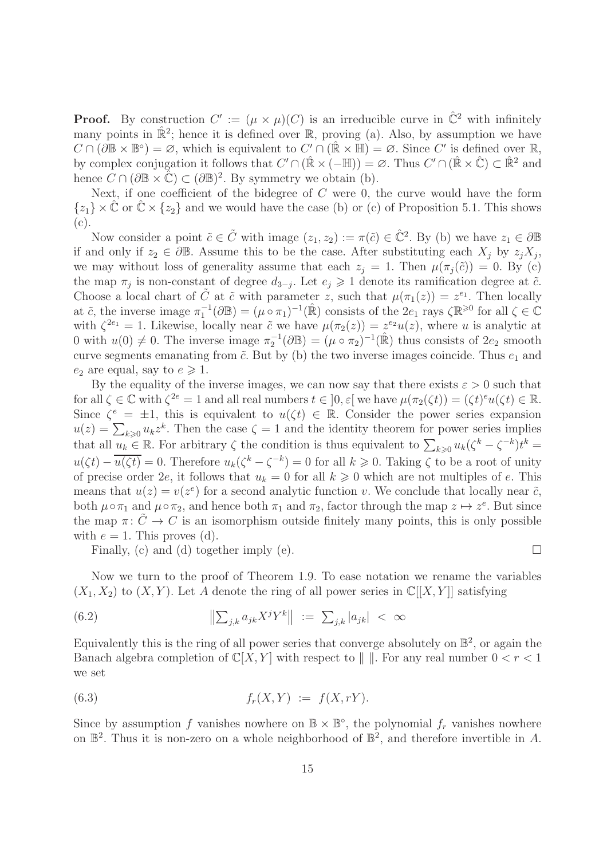**Proof.** By construction  $C' := (\mu \times \mu)(C)$  is an irreducible curve in  $\hat{\mathbb{C}}^2$  with infinitely many points in  $\mathbb{R}^2$ ; hence it is defined over  $\mathbb{R}$ , proving (a). Also, by assumption we have  $C \cap (\partial \mathbb{B} \times \mathbb{B}^{\circ}) = \varnothing$ , which is equivalent to  $C' \cap (\hat{\mathbb{R}} \times \mathbb{H}) = \varnothing$ . Since  $C'$  is defined over  $\mathbb{R}$ , by complex conjugation it follows that  $C' \cap (\mathbb{R} \times (-\mathbb{H})) = \emptyset$ . Thus  $C' \cap (\mathbb{R} \times \mathbb{C}) \subset \mathbb{R}^2$  and hence  $C \cap (\partial \mathbb{B} \times \hat{\mathbb{C}}) \subset (\partial \mathbb{B})^2$ . By symmetry we obtain (b).

Next, if one coefficient of the bidegree of  $C$  were 0, the curve would have the form  $\{z_1\} \times \mathbb{C}$  or  $\mathbb{C} \times \{z_2\}$  and we would have the case (b) or (c) of Proposition 5.1. This shows  $(c).$ 

Now consider a point  $\tilde{c} \in \tilde{C}$  with image  $(z_1, z_2) := \pi(\tilde{c}) \in \tilde{C}^2$ . By (b) we have  $z_1 \in \partial \mathbb{B}$ if and only if  $z_2 \in \partial \mathbb{B}$ . Assume this to be the case. After substituting each  $X_j$  by  $z_j X_j$ , we may without loss of generality assume that each  $z_j = 1$ . Then  $\mu(\pi_j(\tilde{c})) = 0$ . By (c) the map  $\pi_j$  is non-constant of degree  $d_{3-j}$ . Let  $e_j \geq 1$  denote its ramification degree at  $\tilde{c}$ . Choose a local chart of  $\tilde{C}$  at  $\tilde{c}$  with parameter z, such that  $\mu(\pi_1(z)) = z^{e_1}$ . Then locally at  $\tilde{c}$ , the inverse image  $\pi_1^{-1}(\partial \mathbb{B}) = (\mu \circ \pi_1)^{-1}(\hat{\mathbb{R}})$  consists of the  $2e_1$  rays  $\zeta \mathbb{R}^{\geq 0}$  for all  $\zeta \in \mathbb{C}$ with  $\zeta^{2e_1} = 1$ . Likewise, locally near  $\tilde{c}$  we have  $\mu(\pi_2(z)) = z^{e_2}u(z)$ , where u is analytic at 0 with  $u(0) \neq 0$ . The inverse image  $\pi_2^{-1}(\partial \mathbb{B}) = (\mu \circ \pi_2)^{-1}(\mathbb{R})$  thus consists of  $2e_2$  smooth curve segments emanating from  $\tilde{c}$ . But by (b) the two inverse images coincide. Thus  $e_1$  and  $e_2$  are equal, say to  $e \geq 1$ .

By the equality of the inverse images, we can now say that there exists  $\varepsilon > 0$  such that for all  $\zeta \in \mathbb{C}$  with  $\zeta^{2e} = 1$  and all real numbers  $t \in ]0, \varepsilon[$  we have  $\mu(\pi_2(\zeta t)) = (\zeta t)^e u(\zeta t) \in \mathbb{R}$ . Since  $\zeta^e = \pm 1$ , this is equivalent to  $u(\zeta t) \in \mathbb{R}$ . Consider the power series expansion  $u(z) = \sum_{k\geqslant 0} u_k z^k$ . Then the case  $\zeta = 1$  and the identity theorem for power series implies that all  $u_k \in \mathbb{R}$ . For arbitrary  $\zeta$  the condition is thus equivalent to  $\sum_{k\geqslant 0} u_k(\zeta^k - \zeta^{-k})t^k =$  $u(\zeta t) - \overline{u(\zeta t)} = 0$ . Therefore  $u_k(\zeta^k - \zeta^{-k}) = 0$  for all  $k \geq 0$ . Taking  $\zeta$  to be a root of unity of precise order 2e, it follows that  $u_k = 0$  for all  $k \geq 0$  which are not multiples of e. This means that  $u(z) = v(z^e)$  for a second analytic function v. We conclude that locally near  $\tilde{c}$ , both  $\mu \circ \pi_1$  and  $\mu \circ \pi_2$ , and hence both  $\pi_1$  and  $\pi_2$ , factor through the map  $z \mapsto z^e$ . But since the map  $\pi: \tilde{C} \to C$  is an isomorphism outside finitely many points, this is only possible with  $e = 1$ . This proves (d).

Finally, (c) and (d) together imply (e).  $\Box$ 

Now we turn to the proof of Theorem 1.9. To ease notation we rename the variables  $(X_1, X_2)$  to  $(X, Y)$ . Let A denote the ring of all power series in  $\mathbb{C}[[X, Y]]$  satisfying

(6.2) 
$$
\|\sum_{j,k} a_{jk} X^j Y^k\| := \sum_{j,k} |a_{jk}| < \infty
$$

Equivalently this is the ring of all power series that converge absolutely on  $\mathbb{B}^2$ , or again the Banach algebra completion of  $\mathbb{C}[X, Y]$  with respect to  $\| \cdot \|$ . For any real number  $0 < r < 1$ we set

$$
(6.3) \t\t fr(X,Y) := f(X,rY).
$$

Since by assumption f vanishes nowhere on  $\mathbb{B} \times \mathbb{B}^{\circ}$ , the polynomial  $f_r$  vanishes nowhere on  $\mathbb{B}^2$ . Thus it is non-zero on a whole neighborhood of  $\mathbb{B}^2$ , and therefore invertible in A.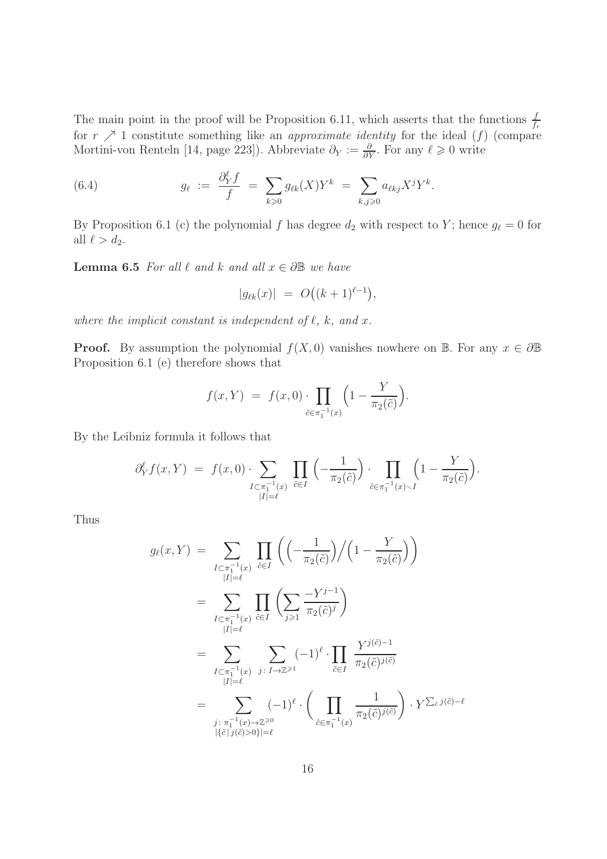The main point in the proof will be Proposition 6.11, which asserts that the functions  $\frac{f}{f_r}$ for  $r \nearrow 1$  constitute something like an *approximate identity* for the ideal  $(f)$  (compare Mortini-von Renteln [14, page 223]). Abbreviate  $\partial_Y := \frac{\partial}{\partial Y}$ . For any  $\ell \geq 0$  write

(6.4) 
$$
g_{\ell} := \frac{\partial_Y^{\ell} f}{f} = \sum_{k \geq 0} g_{\ell k}(X) Y^{k} = \sum_{k,j \geq 0} a_{\ell k j} X^{j} Y^{k}.
$$

By Proposition 6.1 (c) the polynomial f has degree  $d_2$  with respect to Y; hence  $g_{\ell} = 0$  for all  $\ell > d_2$ .

**Lemma 6.5** For all  $\ell$  and k and all  $x \in \partial \mathbb{B}$  we have

$$
|g_{\ell k}(x)| = O((k+1)^{\ell-1}),
$$

where the implicit constant is independent of  $\ell$ ,  $k$ , and  $x$ .

**Proof.** By assumption the polynomial  $f(X, 0)$  vanishes nowhere on B. For any  $x \in \partial \mathbb{B}$ Proposition 6.1 (e) therefore shows that

$$
f(x,Y) = f(x,0) \cdot \prod_{\tilde{c} \in \pi_1^{-1}(x)} \left(1 - \frac{Y}{\pi_2(\tilde{c})}\right).
$$

By the Leibniz formula it follows that

$$
\partial_Y^{\ell} f(x, Y) = f(x, 0) \cdot \sum_{\substack{I \subset \pi_1^{-1}(x) \\ |I| = \ell}} \prod_{\tilde{c} \in I} \left( -\frac{1}{\pi_2(\tilde{c})} \right) \cdot \prod_{\tilde{c} \in \pi_1^{-1}(x) \setminus I} \left( 1 - \frac{Y}{\pi_2(\tilde{c})} \right).
$$

Thus

$$
g_{\ell}(x, Y) = \sum_{\substack{I \subset \pi_1^{-1}(x) \\ |I| = \ell}} \prod_{\tilde{c} \in I} \left( \left( -\frac{1}{\pi_2(\tilde{c})} \right) / \left( 1 - \frac{Y}{\pi_2(\tilde{c})} \right) \right)
$$
  
\n
$$
= \sum_{\substack{I \subset \pi_1^{-1}(x) \\ |I| = \ell}} \prod_{\tilde{c} \in I} \left( \sum_{j \geqslant 1} \frac{-Y^{j-1}}{\pi_2(\tilde{c})^j} \right)
$$
  
\n
$$
= \sum_{\substack{I \subset \pi_1^{-1}(x) \\ |I| = \ell}} \sum_{j: I \to \mathbb{Z}^{\geqslant 1}} (-1)^{\ell} \cdot \prod_{\tilde{c} \in I} \frac{Y^{j(\tilde{c})-1}}{\pi_2(\tilde{c})^{j(\tilde{c})}}
$$
  
\n
$$
= \sum_{\substack{j: \pi_1^{-1}(x) \to \mathbb{Z}^{\geqslant 0} \\ |\{\tilde{c}|j(\tilde{c}) > 0\}| = \ell}} (-1)^{\ell} \cdot \left( \prod_{\tilde{c} \in \pi_1^{-1}(x)} \frac{1}{\pi_2(\tilde{c})^{j(\tilde{c})}} \right) \cdot Y^{\sum_{\tilde{c}} j(\tilde{c}) - \ell}
$$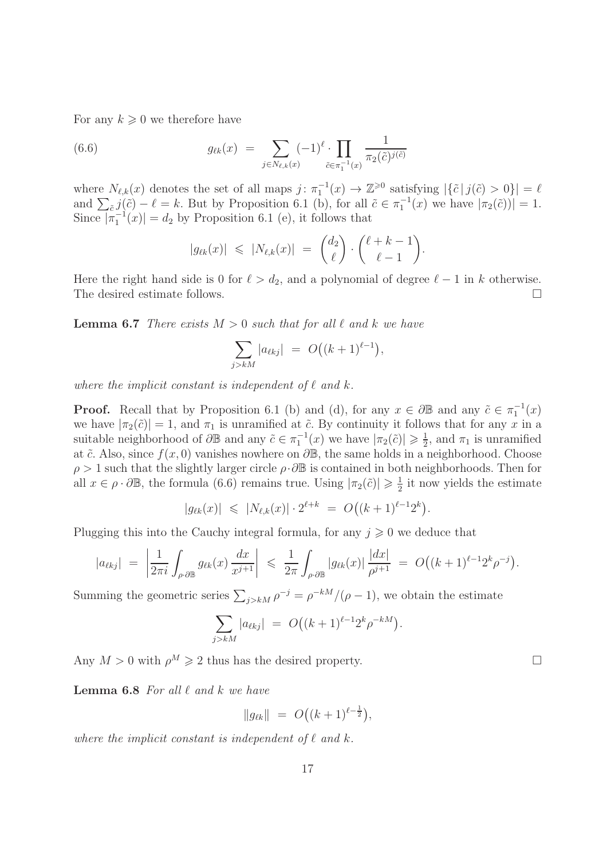For any  $k \geqslant 0$  we therefore have

(6.6) 
$$
g_{\ell k}(x) = \sum_{j \in N_{\ell,k}(x)} (-1)^{\ell} \cdot \prod_{\tilde{c} \in \pi_1^{-1}(x)} \frac{1}{\pi_2(\tilde{c})^{j(\tilde{c})}}
$$

where  $N_{\ell,k}(x)$  denotes the set of all maps  $j: \pi_1^{-1}(x) \to \mathbb{Z}^{\geq 0}$  satisfying  $|\{\tilde{c} | j(\tilde{c}) > 0\}| = \ell$ and  $\sum_{\tilde{c}} j(\tilde{c}) - \ell = k$ . But by Proposition 6.1 (b), for all  $\tilde{c} \in \pi_1^{-1}(x)$  we have  $|\pi_2(\tilde{c}))| = 1$ . Since  $|\pi_1^{-1}(x)| = d_2$  by Proposition 6.1 (e), it follows that

$$
|g_{\ell k}(x)| \leqslant |N_{\ell,k}(x)| = \binom{d_2}{\ell} \cdot \binom{\ell+k-1}{\ell-1}.
$$

Here the right hand side is 0 for  $\ell > d_2$ , and a polynomial of degree  $\ell - 1$  in k otherwise.<br>The desired estimate follows. The desired estimate follows.

**Lemma 6.7** There exists  $M > 0$  such that for all  $\ell$  and  $k$  we have

$$
\sum_{j>kM} |a_{\ell kj}| = O((k+1)^{\ell-1}),
$$

where the implicit constant is independent of  $\ell$  and  $k$ .

**Proof.** Recall that by Proposition 6.1 (b) and (d), for any  $x \in \partial \mathbb{B}$  and any  $\tilde{c} \in \pi_1^{-1}(x)$ we have  $|\pi_2(\tilde{c})| = 1$ , and  $\pi_1$  is unramified at  $\tilde{c}$ . By continuity it follows that for any x in a suitable neighborhood of  $\partial \mathbb{B}$  and any  $\tilde{c} \in \pi_1^{-1}(x)$  we have  $|\pi_2(\tilde{c})| \geq \frac{1}{2}$  $\frac{1}{2}$ , and  $\pi_1$  is unramified at  $\tilde{c}$ . Also, since  $f(x, 0)$  vanishes nowhere on  $\partial \mathbb{B}$ , the same holds in a neighborhood. Choose  $\rho > 1$  such that the slightly larger circle  $\rho \cdot \partial \mathbb{B}$  is contained in both neighborhoods. Then for all  $x \in \rho \cdot \partial \mathbb{B}$ , the formula (6.6) remains true. Using  $|\pi_2(\tilde{c})| \geqslant \frac{1}{2}$  $\frac{1}{2}$  it now yields the estimate

$$
|g_{\ell k}(x)| \leq |N_{\ell,k}(x)| \cdot 2^{\ell+k} = O((k+1)^{\ell-1}2^k).
$$

Plugging this into the Cauchy integral formula, for any  $j \geqslant 0$  we deduce that

$$
|a_{\ell kj}| \ = \ \left| \frac{1}{2\pi i} \int_{\rho \cdot \partial \mathbb{B}} g_{\ell k}(x) \, \frac{dx}{x^{j+1}} \right| \ \leq \ \frac{1}{2\pi} \int_{\rho \cdot \partial \mathbb{B}} |g_{\ell k}(x)| \, \frac{|dx|}{\rho^{j+1}} \ = \ O\big((k+1)^{\ell-1} 2^k \rho^{-j}\big).
$$

Summing the geometric series  $\sum_{j>kM} \rho^{-j} = \rho^{-kM}/(\rho - 1)$ , we obtain the estimate

$$
\sum_{j>kM} |a_{\ell kj}| = O((k+1)^{\ell-1} 2^k \rho^{-kM}).
$$

Any  $M > 0$  with  $\rho^M \geq 2$  thus has the desired property.

**Lemma 6.8** For all  $\ell$  and  $k$  we have

$$
\|g_{\ell k}\| = O\big((k+1)^{\ell - \frac{1}{2}}\big),\,
$$

where the implicit constant is independent of  $\ell$  and  $k$ .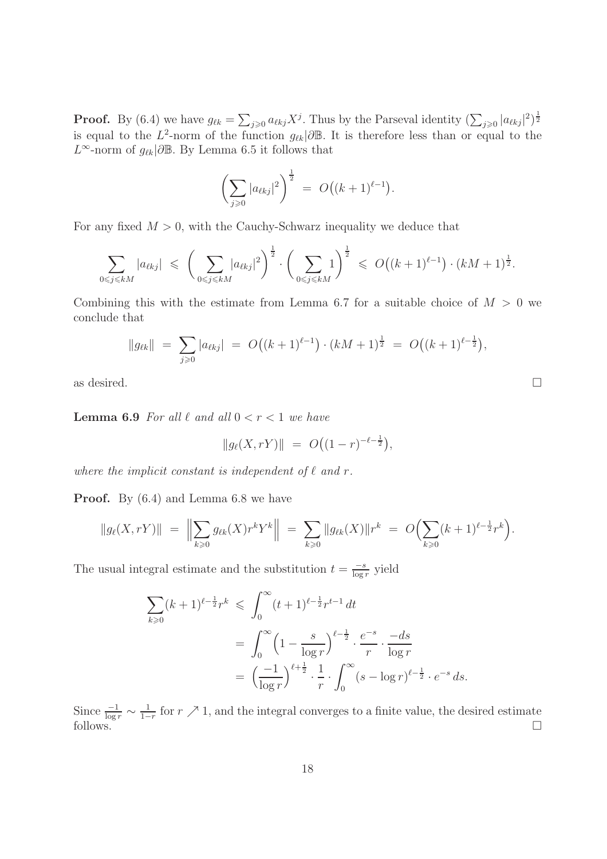**Proof.** By (6.4) we have  $g_{\ell k} = \sum_{j\geqslant 0} a_{\ell kj} X^j$ . Thus by the Parseval identity  $(\sum_{j\geqslant 0} |a_{\ell kj}|^2)^{\frac{1}{2}}$ is equal to the  $L^2$ -norm of the function  $g_{\ell k}|\partial \mathbb{B}$ . It is therefore less than or equal to the  $L^{\infty}$ -norm of  $g_{\ell k}$ |∂ $\mathbb{B}$ . By Lemma 6.5 it follows that

$$
\left(\sum_{j\geqslant 0} |a_{\ell kj}|^2\right)^{\frac{1}{2}} = O\big((k+1)^{\ell-1}\big).
$$

For any fixed  $M > 0$ , with the Cauchy-Schwarz inequality we deduce that

$$
\sum_{0 \leq j \leq kM} |a_{\ell kj}| \leq \left(\sum_{0 \leq j \leq kM} |a_{\ell kj}|^2\right)^{\frac{1}{2}} \cdot \left(\sum_{0 \leq j \leq kM} 1\right)^{\frac{1}{2}} \leq O\left((k+1)^{\ell-1}\right) \cdot (kM+1)^{\frac{1}{2}}.
$$

Combining this with the estimate from Lemma 6.7 for a suitable choice of  $M > 0$  we conclude that

$$
||g_{\ell k}|| = \sum_{j\geqslant 0} |a_{\ell k j}| = O((k+1)^{\ell-1}) \cdot (kM+1)^{\frac{1}{2}} = O((k+1)^{\ell-\frac{1}{2}}),
$$

as desired.  $\Box$ 

**Lemma 6.9** For all  $\ell$  and all  $0 < r < 1$  we have

$$
||g_{\ell}(X,rY)|| = O((1-r)^{-\ell - \frac{1}{2}}),
$$

where the implicit constant is independent of  $\ell$  and  $r$ .

Proof. By (6.4) and Lemma 6.8 we have

$$
||g_{\ell}(X,rY)|| = \Big\|\sum_{k\geqslant 0} g_{\ell k}(X)r^kY^k\Big\| = \sum_{k\geqslant 0} ||g_{\ell k}(X)||r^k = O\Big(\sum_{k\geqslant 0} (k+1)^{\ell-\frac{1}{2}}r^k\Big).
$$

The usual integral estimate and the substitution  $t = \frac{-s}{\log s}$  $\frac{-s}{\log r}$  yield

$$
\sum_{k\geqslant 0} (k+1)^{\ell-\frac{1}{2}} r^k \leqslant \int_0^\infty (t+1)^{\ell-\frac{1}{2}} r^{t-1} dt
$$
\n
$$
= \int_0^\infty \left(1 - \frac{s}{\log r}\right)^{\ell-\frac{1}{2}} \cdot \frac{e^{-s}}{r} \cdot \frac{-ds}{\log r}
$$
\n
$$
= \left(\frac{-1}{\log r}\right)^{\ell+\frac{1}{2}} \cdot \frac{1}{r} \cdot \int_0^\infty (s - \log r)^{\ell-\frac{1}{2}} \cdot e^{-s} ds.
$$

Since  $\frac{-1}{\log r} \sim \frac{1}{1-r}$  $\frac{1}{1-r}$  for  $r \nearrow 1$ , and the integral converges to a finite value, the desired estimate follows.  $\square$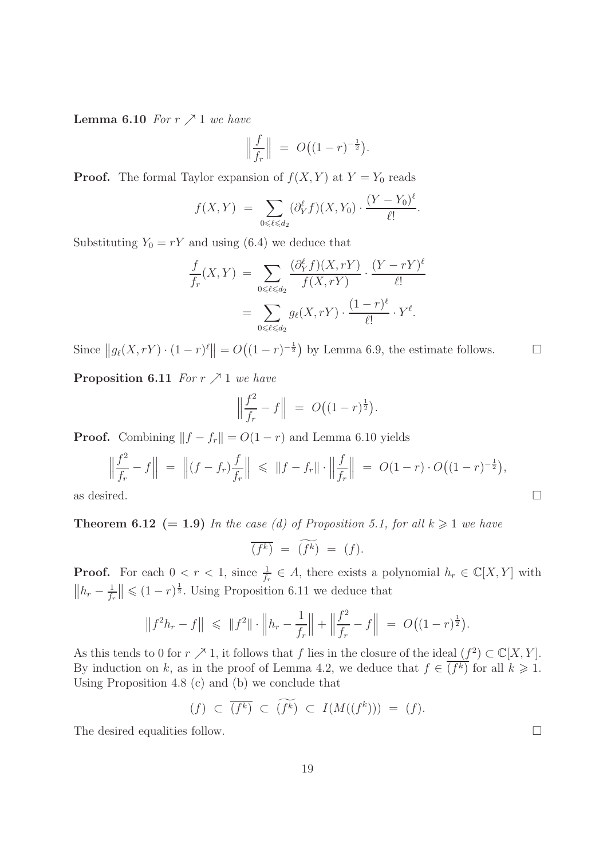**Lemma 6.10** For  $r \nearrow 1$  we have

$$
\left\| \frac{f}{f_r} \right\| \ = \ O\big((1-r)^{-\frac{1}{2}}\big).
$$

**Proof.** The formal Taylor expansion of  $f(X, Y)$  at  $Y = Y_0$  reads

$$
f(X,Y) = \sum_{0 \le \ell \le d_2} (\partial_Y^{\ell} f)(X,Y_0) \cdot \frac{(Y - Y_0)^{\ell}}{\ell!}.
$$

Substituting  $Y_0 = rY$  and using (6.4) we deduce that

$$
\frac{f}{f_r}(X,Y) = \sum_{0 \le \ell \le d_2} \frac{(\partial_Y^{\ell} f)(X,rY)}{f(X,rY)} \cdot \frac{(Y-rY)^{\ell}}{\ell!} \n= \sum_{0 \le \ell \le d_2} g_{\ell}(X,rY) \cdot \frac{(1-r)^{\ell}}{\ell!} \cdot Y^{\ell}.
$$

Since  $||g_{\ell}(X,rY) \cdot (1-r)^{\ell}|| = O((1-r)^{-\frac{1}{2}})$  by Lemma 6.9, the estimate follows.  $\square$ 

**Proposition 6.11** For  $r \nearrow 1$  we have

$$
\left\| \frac{f^2}{f_r} - f \right\| \ = \ O\big((1 - r)^{\frac{1}{2}}\big).
$$

**Proof.** Combining  $||f - f_r|| = O(1 - r)$  and Lemma 6.10 yields

$$
\left\| \frac{f^2}{f_r} - f \right\| = \left\| (f - f_r) \frac{f}{f_r} \right\| \le \|f - f_r\| \cdot \left\| \frac{f}{f_r} \right\| = O(1 - r) \cdot O((1 - r)^{-\frac{1}{2}}),
$$
  
as desired.

**Theorem 6.12** (= 1.9) In the case (d) of Proposition 5.1, for all  $k \geq 1$  we have

$$
\overline{(f^k)} = \widetilde{(f^k)} = (f).
$$

**Proof.** For each  $0 < r < 1$ , since  $\frac{1}{f_r} \in A$ , there exists a polynomial  $h_r \in \mathbb{C}[X, Y]$  with  $||h_r - \frac{1}{f_r}$  $\frac{1}{f_r}$   $\leq$   $(1-r)^{\frac{1}{2}}$ . Using Proposition 6.11 we deduce that

$$
\left\|f^2h_r - f\right\| \leq \|f^2\| \cdot \left\|h_r - \frac{1}{f_r}\right\| + \left\|\frac{f^2}{f_r} - f\right\| = O\big((1-r)^{\frac{1}{2}}\big).
$$

As this tends to 0 for  $r \nearrow 1$ , it follows that f lies in the closure of the ideal  $(f^2) \subset \mathbb{C}[X, Y]$ . By induction on k, as in the proof of Lemma 4.2, we deduce that  $f \in (f^k)$  for all  $k \geq 1$ . Using Proposition 4.8 (c) and (b) we conclude that

$$
(f) \ \subset \ \overline{(f^k)} \ \subset \ \widetilde{(f^k)} \ \subset \ I(M((f^k))) \ = \ (f).
$$

The desired equalities follow.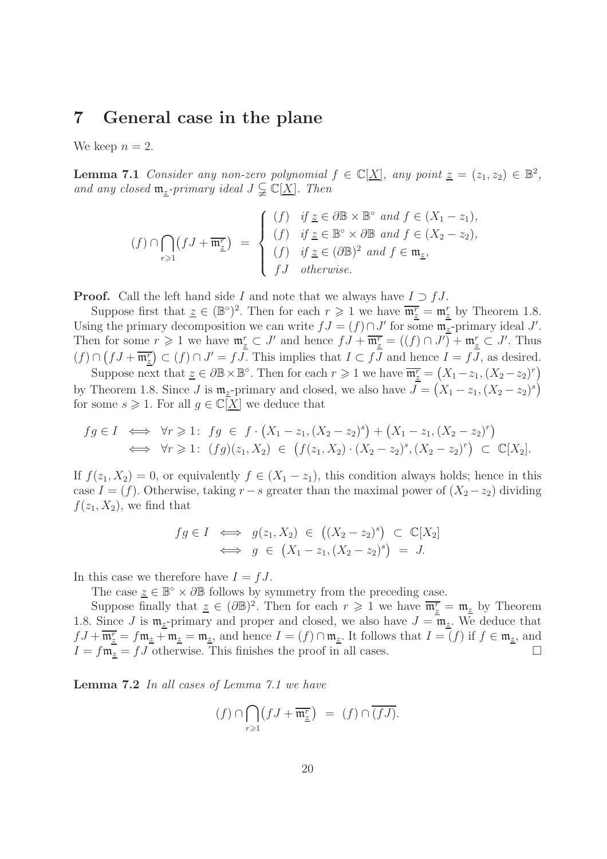#### 7 General case in the plane

We keep  $n = 2$ .

**Lemma 7.1** Consider any non-zero polynomial  $f \in \mathbb{C}[\underline{X}]$ , any point  $\underline{z} = (z_1, z_2) \in \mathbb{B}^2$ , and any closed  $\mathfrak{m}_{\underline{z}}$ -primary ideal  $J \subsetneq \mathbb{C}[\underline{X}]$ . Then

$$
(f) \cap \bigcap_{r \geq 1} (fJ + \overline{\mathfrak{m}^r_{\underline{z}}}) = \begin{cases} (f) & \text{if } \underline{z} \in \partial \mathbb{B} \times \mathbb{B}^\circ \text{ and } f \in (X_1 - z_1), \\ (f) & \text{if } \underline{z} \in \mathbb{B}^\circ \times \partial \mathbb{B} \text{ and } f \in (X_2 - z_2), \\ (f) & \text{if } \underline{z} \in (\partial \mathbb{B})^2 \text{ and } f \in \mathfrak{m}_{\underline{z}}, \\ fJ & \text{otherwise.} \end{cases}
$$

**Proof.** Call the left hand side I and note that we always have  $I \supset fJ$ .

Suppose first that  $\underline{z} \in (\mathbb{B}^{\circ})^2$ . Then for each  $r \geqslant 1$  we have  $\overline{\mathfrak{m}^r_{\underline{z}}} = \mathfrak{m}^r_{\underline{z}}$  by Theorem 1.8. Using the primary decomposition we can write  $fJ = (f) \cap J'$  for some  $\mathfrak{m}_{\underline{z}}$ -primary ideal J'. Then for some  $r \geq 1$  we have  $\mathfrak{m}_{\underline{z}}^r \subset J'$  and hence  $fJ + \overline{\mathfrak{m}_{\underline{z}}^r} = ((f) \cap J') + \mathfrak{m}_{\underline{z}}^r \subset J'$ . Thus  $(f) \cap (fJ + \overline{\mathfrak{m}_{z}^{r}}) \subset (f) \cap J' = fJ.$  This implies that  $I \subset fJ$  and hence  $I = fJ$ , as desired.

Suppose next that  $\underline{z} \in \partial \mathbb{B} \times \mathbb{B}^{\circ}$ . Then for each  $r \geqslant 1$  we have  $\overline{\mathfrak{m}^r_{\underline{z}}} = (X_1 - z_1, (X_2 - z_2)^r)$ by Theorem 1.8. Since J is  $\mathfrak{m}_z$ -primary and closed, we also have  $\overline{J} = (X_1 - z_1, (X_2 - z_2)^s)$ for some  $s \geq 1$ . For all  $g \in \mathbb{C}[\underline{X}]$  we deduce that

$$
fg \in I \iff \forall r \geq 1: fg \in f \cdot (X_1 - z_1, (X_2 - z_2)^s) + (X_1 - z_1, (X_2 - z_2)^r) \iff \forall r \geq 1: (fg)(z_1, X_2) \in (f(z_1, X_2) \cdot (X_2 - z_2)^s, (X_2 - z_2)^r) \subset \mathbb{C}[X_2].
$$

If  $f(z_1, X_2) = 0$ , or equivalently  $f \in (X_1 - z_1)$ , this condition always holds; hence in this case  $I = (f)$ . Otherwise, taking  $r-s$  greater than the maximal power of  $(X_2 - z_2)$  dividing  $f(z_1, X_2)$ , we find that

$$
fg \in I \iff g(z_1, X_2) \in ((X_2 - z_2)^s) \subset \mathbb{C}[X_2]
$$
  

$$
\iff g \in (X_1 - z_1, (X_2 - z_2)^s) = J.
$$

In this case we therefore have  $I = fJ$ .

The case  $\underline{z} \in \mathbb{B}^{\circ} \times \partial \mathbb{B}$  follows by symmetry from the preceding case.

Suppose finally that  $\underline{z} \in (\partial \mathbb{B})^2$ . Then for each  $r \geq 1$  we have  $\overline{\mathfrak{m}^r_{\underline{z}}} = \mathfrak{m}_{\underline{z}}$  by Theorem 1.8. Since J is  $\mathfrak{m}_{z}$ -primary and proper and closed, we also have  $J = \mathfrak{m}_{z}$ . We deduce that  $fJ + \overline{\mathfrak{m}^r_{\underline{z}}} = f\mathfrak{m}_{\underline{z}} + \mathfrak{m}_{\underline{z}} = \mathfrak{m}_{\underline{z}},$  and hence  $I = (f) \cap \mathfrak{m}_{\underline{z}}$ . It follows that  $I = (f)$  if  $f \in \mathfrak{m}_{\underline{z}}$ , and  $I = f\mathfrak{m}_z = fJ$  otherwise. This finishes the proof in all cases.

Lemma 7.2 In all cases of Lemma 7.1 we have

$$
(f) \cap \bigcap_{r \geq 1} \left( f \cdot J + \overline{\mathfrak{m}^r_{\underline{z}}} \right) \ = \ (f) \cap \overline{(fJ)}.
$$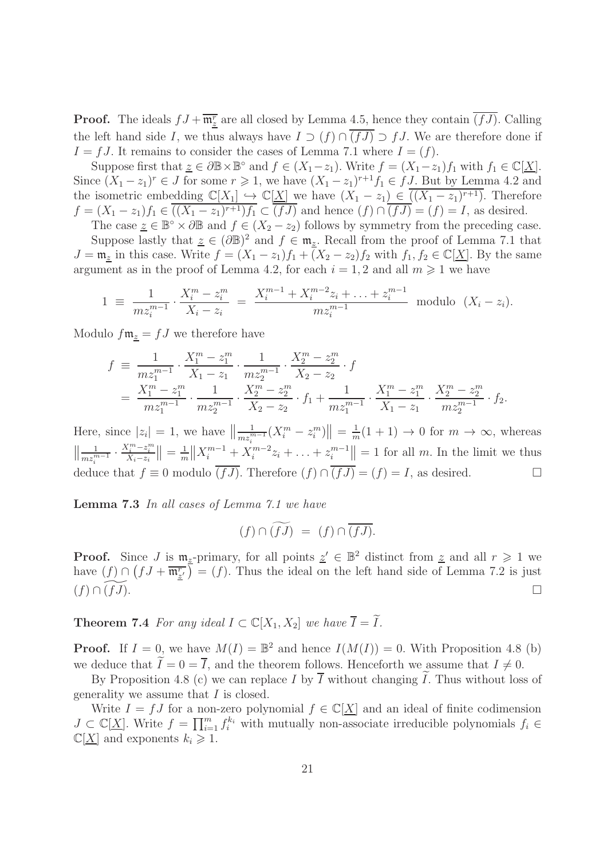**Proof.** The ideals  $fJ + \overline{\mathfrak{m}^r_{\underline{z}}}$  are all closed by Lemma 4.5, hence they contain  $\overline{(fJ)}$ . Calling the left hand side I, we thus always have  $I \supset (f) \cap \overline{(fJ)} \supset fJ$ . We are therefore done if  $I = fJ$ . It remains to consider the cases of Lemma 7.1 where  $I = (f)$ .

Suppose first that  $\underline{z} \in \partial \mathbb{B} \times \mathbb{B}^{\circ}$  and  $f \in (X_1 - z_1)$ . Write  $f = (X_1 - z_1)f_1$  with  $f_1 \in \mathbb{C}[\underline{X}]$ . Since  $(X_1 - z_1)^r \in J$  for some  $r \geq 1$ , we have  $(X_1 - z_1)^{r+1} f_1 \in f J$ . But by Lemma 4.2 and the isometric embedding  $\mathbb{C}[X_1] \hookrightarrow \mathbb{C}[\underline{X}]$  we have  $(X_1 - z_1) \in ((X_1 - z_1)^{r+1})$ . Therefore  $f = (X_1 - z_1)f_1 \in ((X_1 - z_1)^{r+1})f_1 \subset (fJ)$  and hence  $(f) \cap (fJ) = (f) = I$ , as desired.

The case  $\underline{z} \in \mathbb{B}^{\circ} \times \partial \mathbb{B}$  and  $f \in (X_2 - z_2)$  follows by symmetry from the preceding case. Suppose lastly that  $\underline{z} \in (\partial \mathbb{B})^2$  and  $f \in \mathfrak{m}_{\underline{z}}$ . Recall from the proof of Lemma 7.1 that  $J = \mathfrak{m}_z$  in this case. Write  $f = (X_1 - z_1)f_1 + (X_2 - z_2)f_2$  with  $f_1, f_2 \in \mathbb{C}[\underline{X}]$ . By the same argument as in the proof of Lemma 4.2, for each  $i = 1, 2$  and all  $m \geq 1$  we have

$$
1 \equiv \frac{1}{m z_i^{m-1}} \cdot \frac{X_i^m - z_i^m}{X_i - z_i} = \frac{X_i^{m-1} + X_i^{m-2} z_i + \ldots + z_i^{m-1}}{m z_i^{m-1}} \text{ modulo } (X_i - z_i).
$$

Modulo  $f\mathfrak{m}_z = fJ$  we therefore have

$$
f \equiv \frac{1}{m z_1^{m-1}} \cdot \frac{X_1^m - z_1^m}{X_1 - z_1} \cdot \frac{1}{m z_2^{m-1}} \cdot \frac{X_2^m - z_2^m}{X_2 - z_2} \cdot f
$$
  
= 
$$
\frac{X_1^m - z_1^m}{m z_1^{m-1}} \cdot \frac{1}{m z_2^{m-1}} \cdot \frac{X_2^m - z_2^m}{X_2 - z_2} \cdot f_1 + \frac{1}{m z_1^{m-1}} \cdot \frac{X_1^m - z_1^m}{X_1 - z_1} \cdot \frac{X_2^m - z_2^m}{m z_2^{m-1}} \cdot f_2.
$$

Here, since  $|z_i| = 1$ , we have  $\left\| \frac{1}{m z_i^m} \right\|$  $\frac{1}{m z_i^{m-1}} (X_i^m - z_i^m) \Big\| = \frac{1}{m}$  $\frac{1}{m}(1+1) \to 0$  for  $m \to \infty$ , whereas  $\left\|\frac{1}{m z_i^n}\right\|$  $\frac{1}{m z_i^{m-1}}$  $\frac{X_i^m - z_i^m}{X_i - z_i}$   $\Big| = \frac{1}{m}$  $\frac{1}{m} \|X_i^{m-1} + X_i^{m-2} z_i + \ldots + z_i^{m-1}\| = 1$  for all m. In the limit we thus deduce that  $f \equiv 0$  modulo  $\overline{(fJ)}$ . Therefore  $(f) \cap \overline{(fJ)} = (f) = I$ , as desired.

Lemma 7.3 In all cases of Lemma 7.1 we have

$$
(f)\cap \widetilde{(fJ)} \;=\; (f)\cap \overline{(fJ)}.
$$

**Proof.** Since J is  $\mathfrak{m}_{z}$ -primary, for all points  $z' \in \mathbb{B}^2$  distinct from  $z$  and all  $r \geq 1$  we have  $(f) \cap (fJ + \overline{\mathfrak{m}_{z'}^r}) = (f)$ . Thus the ideal on the left hand side of Lemma 7.2 is just  $(f) \cap \widetilde{(fJ)}.$ 

**Theorem 7.4** For any ideal  $I \subset \mathbb{C}[X_1, X_2]$  we have  $\overline{I} = \widetilde{I}$ .

**Proof.** If  $I = 0$ , we have  $M(I) = \mathbb{B}^2$  and hence  $I(M(I)) = 0$ . With Proposition 4.8 (b) we deduce that  $\widetilde{I} = 0 = \overline{I}$ , and the theorem follows. Henceforth we assume that  $I \neq 0$ .

By Proposition 4.8 (c) we can replace I by  $\overline{I}$  without changing  $\tilde{I}$ . Thus without loss of generality we assume that I is closed.

Write  $I = fJ$  for a non-zero polynomial  $f \in \mathbb{C}[X]$  and an ideal of finite codimension  $J \subset \mathbb{C}[X]$ . Write  $f = \prod_{i=1}^m f_i^{k_i}$  with mutually non-associate irreducible polynomials  $f_i \in$  $\mathbb{C}[\underline{X}]$  and exponents  $k_i \geqslant 1$ .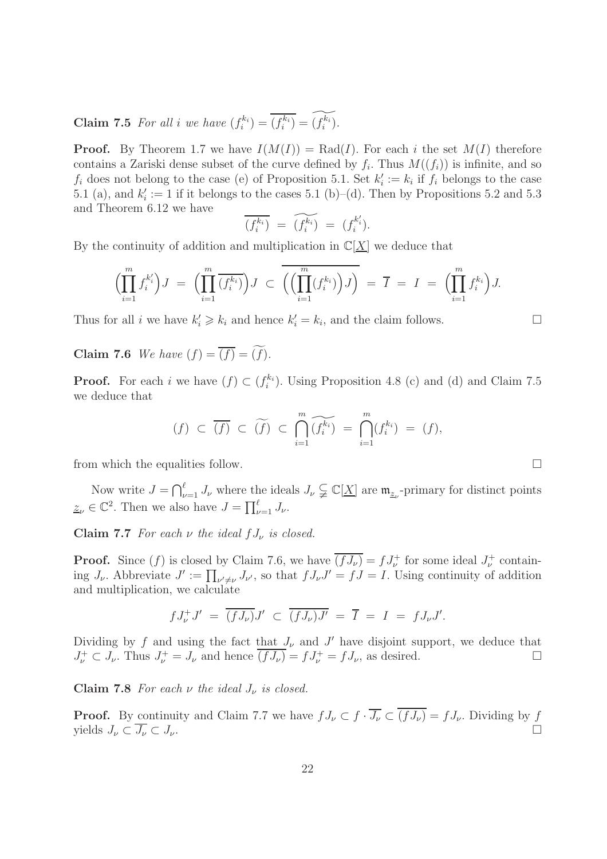**Claim 7.5** For all i we have  $(f_i^{k_i}) = \overline{(f_i^{k_i})} = \overline{(f_i^{k_i})}$ .

**Proof.** By Theorem 1.7 we have  $I(M(I)) = \text{Rad}(I)$ . For each i the set  $M(I)$  therefore contains a Zariski dense subset of the curve defined by  $f_i$ . Thus  $M((f_i))$  is infinite, and so  $f_i$  does not belong to the case (e) of Proposition 5.1. Set  $k'_i := k_i$  if  $f_i$  belongs to the case 5.1 (a), and  $k_i' := 1$  if it belongs to the cases 5.1 (b)–(d). Then by Propositions 5.2 and 5.3 and Theorem 6.12 we have

$$
\overline{(f_i^{k_i})} = \widetilde{(f_i^{k_i})} = (f_i^{k'_i}).
$$

By the continuity of addition and multiplication in  $\mathbb{C}[X]$  we deduce that

$$
\left(\prod_{i=1}^m f_i^{k_i'}\right)J = \left(\prod_{i=1}^m \overline{(f_i^{k_i})}\right)J \subset \overline{\left(\left(\prod_{i=1}^m (f_i^{k_i})\right)J\right)} = \overline{I} = I = \left(\prod_{i=1}^m f_i^{k_i}\right)J.
$$

Thus for all *i* we have  $k'_i \geq k_i$  and hence  $k'_i = k_i$ , and the claim follows.

Claim 7.6 We have  $(f) = \overline{(f)} = \widetilde{(f)}$ .

**Proof.** For each i we have  $(f) \subset (f_i^{k_i})$ . Using Proposition 4.8 (c) and (d) and Claim 7.5 we deduce that

$$
(f) \subset \overline{(f)} \subset \widetilde{(f)} \subset \bigcap_{i=1}^{m} \widetilde{(f_i^{k_i})} = \bigcap_{i=1}^{m} (f_i^{k_i}) = (f),
$$

from which the equalities follow.  $\Box$ 

Now write  $J = \bigcap_{\nu=1}^{\ell} J_{\nu}$  where the ideals  $J_{\nu} \subsetneq \mathbb{C}[\underline{X}]$  are  $\mathfrak{m}_{\underline{z}_{\nu}}$ -primary for distinct points  $\underline{z}_{\nu} \in \mathbb{C}^2$ . Then we also have  $J = \prod_{\nu=1}^{\ell} J_{\nu}$ .

Claim 7.7 For each  $\nu$  the ideal  $f J_{\nu}$  is closed.

**Proof.** Since  $(f)$  is closed by Claim 7.6, we have  $\overline{(fJ_\nu)} = fJ_\nu^+$  for some ideal  $J_\nu^+$  containing  $J_{\nu}$ . Abbreviate  $J' := \prod_{\nu' \neq \nu} J_{\nu'}$ , so that  $f J_{\nu} J' = f J = I$ . Using continuity of addition and multiplication, we calculate

$$
f J^+_{\nu} J' = \overline{(f J_{\nu})} J' \subset \overline{(f J_{\nu})} J' = \overline{I} = I = f J_{\nu} J'.
$$

Dividing by f and using the fact that  $J_{\nu}$  and  $J'$  have disjoint support, we deduce that  $J_{\nu}^+ \subset J_{\nu}$ . Thus  $J_{\nu}^+ = J_{\nu}$  and hence  $\overline{(fJ_{\nu})} = fJ_{\nu}^+ = fJ_{\nu}$ , as desired.

Claim 7.8 For each  $\nu$  the ideal  $J_{\nu}$  is closed.

**Proof.** By continuity and Claim 7.7 we have  $f J_{\nu} \subset f \cdot \overline{J_{\nu}} \subset \overline{(f J_{\nu})} = f J_{\nu}$ . Dividing by f vields  $J_{\nu} \subset \overline{J_{\nu}} \subset J_{\nu}$ . yields  $J_{\nu} \subset \overline{J_{\nu}} \subset J_{\nu}$ .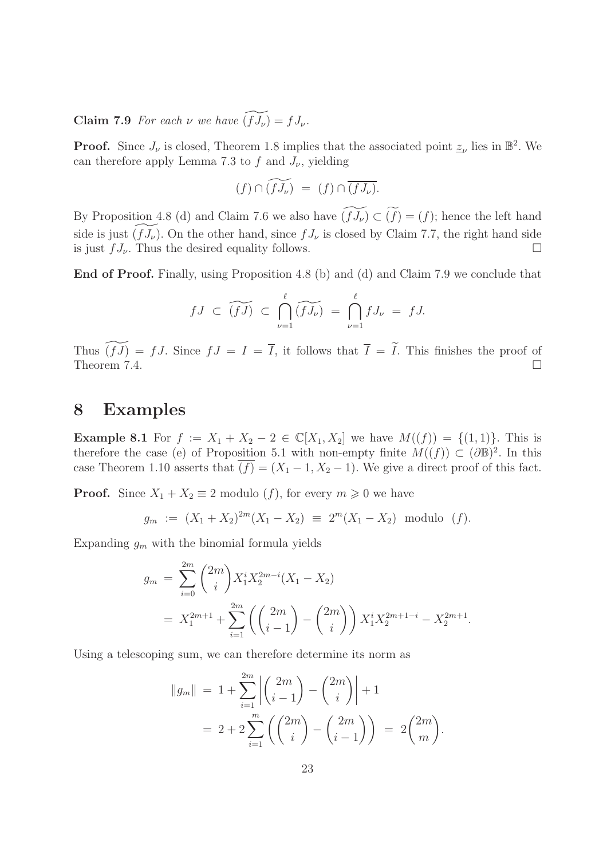**Claim 7.9** For each  $\nu$  we have  $(f \mathcal{T}_{\nu}) = f J_{\nu}$ .

**Proof.** Since  $J_{\nu}$  is closed, Theorem 1.8 implies that the associated point  $\underline{z}_{\nu}$  lies in  $\mathbb{B}^2$ . We can therefore apply Lemma 7.3 to f and  $J_{\nu}$ , yielding

$$
(f)\cap \widetilde{(fJ_\nu)}\ =\ (f)\cap \overline{(fJ_\nu)}.
$$

By Proposition 4.8 (d) and Claim 7.6 we also have  $(f \widetilde{J_{\nu}}) \subset (f) = (f)$ ; hence the left hand side is just  $(fJ_\nu)$ . On the other hand, since  $fJ_\nu$  is closed by Claim 7.7, the right hand side is just  $f J_{\nu}$ . Thus the desired equality follows.

End of Proof. Finally, using Proposition 4.8 (b) and (d) and Claim 7.9 we conclude that

$$
fJ \ \subset \ \widetilde{(fJ)} \ \subset \ \bigcap_{\nu=1}^{\ell} \widetilde{(fJ_{\nu})} \ = \ \bigcap_{\nu=1}^{\ell} fJ_{\nu} \ = \ fJ.
$$

Thus  $(fJ) = fJ$ . Since  $fJ = I = \overline{I}$ , it follows that  $\overline{I} = \widetilde{I}$ . This finishes the proof of Theorem 7.4. Theorem 7.4.

## 8 Examples

**Example 8.1** For  $f := X_1 + X_2 - 2 \in \mathbb{C}[X_1, X_2]$  we have  $M((f)) = \{(1, 1)\}\)$ . This is therefore the case (e) of Proposition 5.1 with non-empty finite  $M((f)) \subset (\partial \mathbb{B})^2$ . In this case Theorem 1.10 asserts that  $\overline{(f)} = (X_1 - 1, X_2 - 1)$ . We give a direct proof of this fact.

**Proof.** Since  $X_1 + X_2 \equiv 2$  modulo  $(f)$ , for every  $m \ge 0$  we have

$$
g_m := (X_1 + X_2)^{2m}(X_1 - X_2) \equiv 2^m(X_1 - X_2)
$$
 modulo  $(f)$ .

Expanding  $g_m$  with the binomial formula yields

$$
g_m = \sum_{i=0}^{2m} {2m \choose i} X_1^i X_2^{2m-i} (X_1 - X_2)
$$
  
=  $X_1^{2m+1} + \sum_{i=1}^{2m} \left( {2m \choose i-1} - {2m \choose i} \right) X_1^i X_2^{2m+1-i} - X_2^{2m+1}.$ 

Using a telescoping sum, we can therefore determine its norm as

$$
||g_m|| = 1 + \sum_{i=1}^{2m} \left| \binom{2m}{i-1} - \binom{2m}{i} \right| + 1
$$
  
= 2 + 2  $\sum_{i=1}^{m} \left( \binom{2m}{i} - \binom{2m}{i-1} \right) = 2 \binom{2m}{m}.$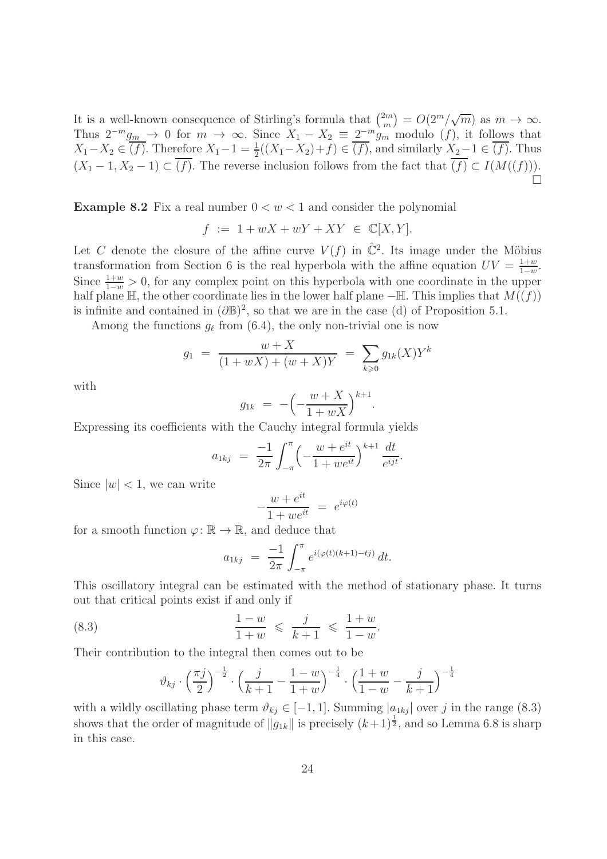It is a well-known consequence of Stirling's formula that  $\binom{2m}{m}$  $\binom{2m}{m} = O(2^m/\sqrt{m})$  as  $m \to \infty$ . Thus  $2^{-m} g_{\underline{m}} \to 0$  for  $m \to \infty$ . Since  $X_1 - X_2 \equiv 2^{-m} g_m$  modulo  $(f)$ , it follows that  $X_1 - X_2 \in \overline{(f)}$ . Therefore  $X_1 - 1 = \frac{1}{2}((X_1 - X_2) + f) \in \overline{(f)}$ , and similarly  $X_2 - 1 \in \overline{(f)}$ . Thus  $(X_1 - 1, X_2 - 1) \subset \overline{(f)}$ . The reverse inclusion follows from the fact that  $\overline{(f)} \subset I(M((f))).$  $\Box$ 

**Example 8.2** Fix a real number  $0 < w < 1$  and consider the polynomial

$$
f := 1 + wX + wY + XY \in \mathbb{C}[X, Y].
$$

Let C denote the closure of the affine curve  $V(f)$  in  $\hat{\mathbb{C}}^2$ . Its image under the Möbius transformation from Section 6 is the real hyperbola with the affine equation  $UV = \frac{1+w}{1-w}$  $\frac{1+w}{1-w}$ . Since  $\frac{1+w}{1-w} > 0$ , for any complex point on this hyperbola with one coordinate in the upper half plane  $\mathbb{H}$ , the other coordinate lies in the lower half plane  $-\mathbb{H}$ . This implies that  $M((f))$ is infinite and contained in  $(\partial \mathbb{B})^2$ , so that we are in the case (d) of Proposition 5.1.

Among the functions  $g_{\ell}$  from (6.4), the only non-trivial one is now

$$
g_1 = \frac{w + X}{(1 + wX) + (w + X)Y} = \sum_{k \ge 0} g_{1k}(X)Y^k
$$

with

$$
g_{1k} = -\left(-\frac{w+X}{1+wX}\right)^{k+1}.
$$

Expressing its coefficients with the Cauchy integral formula yields

$$
a_{1kj} = \frac{-1}{2\pi} \int_{-\pi}^{\pi} \left( -\frac{w + e^{it}}{1 + we^{it}} \right)^{k+1} \frac{dt}{e^{ijt}}.
$$

Since  $|w|$  < 1, we can write

$$
-\frac{w + e^{it}}{1 + we^{it}} = e^{i\varphi(t)}
$$

for a smooth function  $\varphi: \mathbb{R} \to \mathbb{R}$ , and deduce that

$$
a_{1kj} = \frac{-1}{2\pi} \int_{-\pi}^{\pi} e^{i(\varphi(t)(k+1)-tj)} dt.
$$

This oscillatory integral can be estimated with the method of stationary phase. It turns out that critical points exist if and only if

(8.3) 
$$
\frac{1-w}{1+w} \leq \frac{j}{k+1} \leq \frac{1+w}{1-w}.
$$

Their contribution to the integral then comes out to be

$$
\vartheta_{kj} \cdot \left(\frac{\pi j}{2}\right)^{-\frac{1}{2}} \cdot \left(\frac{j}{k+1} - \frac{1-w}{1+w}\right)^{-\frac{1}{4}} \cdot \left(\frac{1+w}{1-w} - \frac{j}{k+1}\right)^{-\frac{1}{4}}
$$

with a wildly oscillating phase term  $\vartheta_{ki} \in [-1, 1]$ . Summing  $|a_{1ki}|$  over j in the range (8.3) shows that the order of magnitude of  $||g_{1k}||$  is precisely  $(k+1)^{\frac{1}{2}}$ , and so Lemma 6.8 is sharp in this case.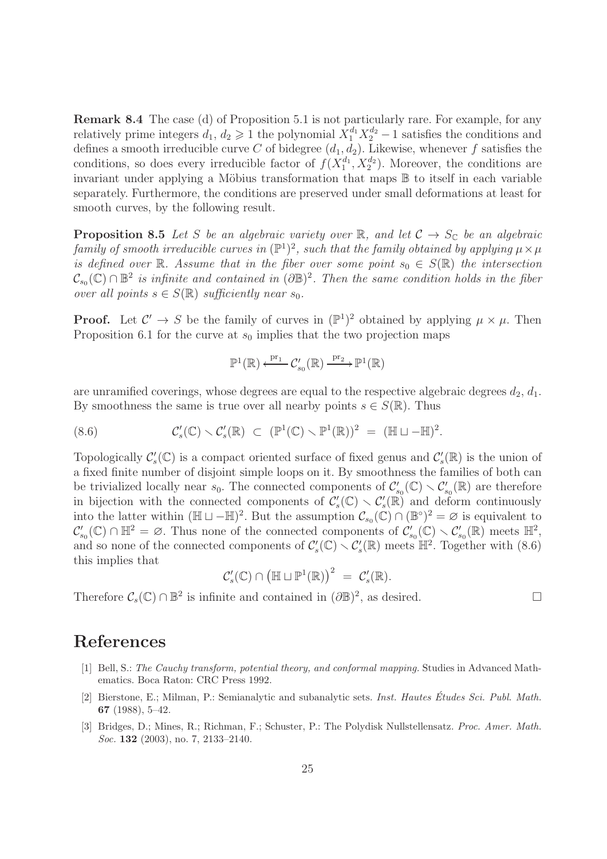Remark 8.4 The case (d) of Proposition 5.1 is not particularly rare. For example, for any relatively prime integers  $d_1, d_2 \geq 1$  the polynomial  $X_1^{d_1} X_2^{d_2} - 1$  satisfies the conditions and defines a smooth irreducible curve C of bidegree  $(d_1, d_2)$ . Likewise, whenever f satisfies the conditions, so does every irreducible factor of  $f(X_1^{d_1})$  $\binom{d_1}{1}$ ,  $X_2^{d_2}$ ). Moreover, the conditions are invariant under applying a Möbius transformation that maps  $\mathbb B$  to itself in each variable separately. Furthermore, the conditions are preserved under small deformations at least for smooth curves, by the following result.

**Proposition 8.5** Let S be an algebraic variety over R, and let  $C \rightarrow S_C$  be an algebraic family of smooth irreducible curves in  $(\mathbb{P}^1)^2$ , such that the family obtained by applying  $\mu \times \mu$ is defined over R. Assume that in the fiber over some point  $s_0 \in S(\mathbb{R})$  the intersection  $\mathcal{C}_{s_0}(\mathbb{C}) \cap \mathbb{B}^2$  is infinite and contained in  $(\partial \mathbb{B})^2$ . Then the same condition holds in the fiber over all points  $s \in S(\mathbb{R})$  sufficiently near  $s_0$ .

**Proof.** Let  $\mathcal{C}' \to S$  be the family of curves in  $(\mathbb{P}^1)^2$  obtained by applying  $\mu \times \mu$ . Then Proposition 6.1 for the curve at  $s_0$  implies that the two projection maps

$$
\mathbb{P}^1(\mathbb{R}) \xleftarrow{\mathrm{pr}_1} C'_{s_0}(\mathbb{R}) \xrightarrow{\mathrm{pr}_2} \mathbb{P}^1(\mathbb{R})
$$

are unramified coverings, whose degrees are equal to the respective algebraic degrees  $d_2, d_1$ . By smoothness the same is true over all nearby points  $s \in S(\mathbb{R})$ . Thus

(8.6) 
$$
\mathcal{C}'_s(\mathbb{C}) \setminus \mathcal{C}'_s(\mathbb{R}) \subset (\mathbb{P}^1(\mathbb{C}) \setminus \mathbb{P}^1(\mathbb{R}))^2 = (\mathbb{H} \sqcup -\mathbb{H})^2.
$$

Topologically  $\mathcal{C}'_s(\mathbb{C})$  is a compact oriented surface of fixed genus and  $\mathcal{C}'_s(\mathbb{R})$  is the union of a fixed finite number of disjoint simple loops on it. By smoothness the families of both can be trivialized locally near  $s_0$ . The connected components of  $\mathcal{C}'_{s_0}(\mathbb{C}) \setminus \mathcal{C}'_{s_0}(\mathbb{R})$  are therefore in bijection with the connected components of  $\mathcal{C}'_s(\mathbb{C}) \setminus \mathcal{C}'_s(\mathbb{R})$  and deform continuously into the latter within  $(\mathbb{H} \sqcup -\mathbb{H})^2$ . But the assumption  $\mathcal{C}_{s_0}(\mathbb{C}) \cap (\mathbb{B}^{\circ})^2 = \varnothing$  is equivalent to  $\mathcal{C}'_{s_0}(\mathbb{C}) \cap \mathbb{H}^2 = \varnothing$ . Thus none of the connected components of  $\mathcal{C}'_{s_0}(\mathbb{C}) \setminus \mathcal{C}'_{s_0}(\mathbb{R})$  meets  $\mathbb{H}^2$ , and so none of the connected components of  $C_s'(\mathbb{C}) \setminus C_s'(\mathbb{R})$  meets  $\mathbb{H}^2$ . Together with (8.6) this implies that

$$
\mathcal{C}'_s(\mathbb{C}) \cap \left( \mathbb{H} \sqcup \mathbb{P}^1(\mathbb{R}) \right)^2 = \mathcal{C}'_s(\mathbb{R}).
$$

Therefore  $C_s(\mathbb{C}) \cap \mathbb{B}^2$  is infinite and contained in  $(\partial \mathbb{B})^2$ , as desired.

## References

- [1] Bell, S.: The Cauchy transform, potential theory, and conformal mapping. Studies in Advanced Mathematics. Boca Raton: CRC Press 1992.
- [2] Bierstone, E.; Milman, P.: Semianalytic and subanalytic sets. Inst. Hautes Etudes Sci. Publ. Math. ´ 67 (1988), 5–42.
- [3] Bridges, D.; Mines, R.; Richman, F.; Schuster, P.: The Polydisk Nullstellensatz. Proc. Amer. Math. Soc. **132** (2003), no. 7, 2133-2140.